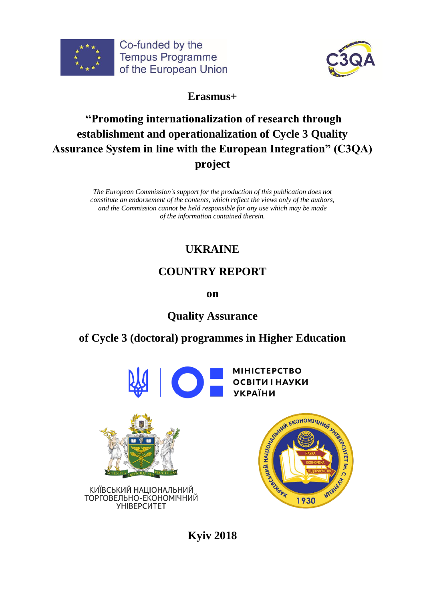



# **Erasmus+**

# **"Promoting internationalization of research through establishment and operationalization of Cycle 3 Quality Assurance System in line with the European Integration" (C3QA) project**

*The European Commission's support for the production of this publication does not constitute an endorsement of the contents, which reflect the views only of the authors, and the Commission cannot be held responsible for any use which may be made of the information contained therein.*

# **UKRAINE**

# **COUNTRY REPORT**

**on**

# **Quality Assurance**

# **of Cycle 3 (doctoral) programmes in Higher Education**









**Kyiv 2018**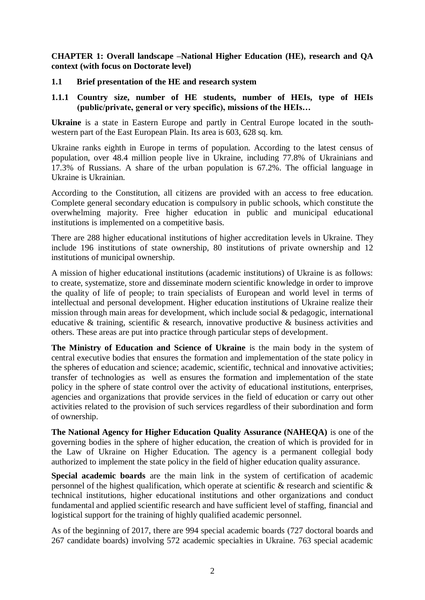**CHAPTER 1: Overall landscape –National Higher Education (HE), research and QA context (with focus on Doctorate level)**

#### **1.1 Brief presentation of the HE and research system**

#### **1.1.1 Country size, number of HE students, number of HEIs, type of HEIs (public/private, general or very specific), missions of the HEIs…**

**Ukraine** is a state in Eastern Europe and partly in Central Europe located in the southwestern part of the East European Plain. Its area is 603, 628 sq. km.

Ukraine ranks eighth in Europe in terms of population. According to the latest census of population, over 48.4 million people live in Ukraine, including 77.8% of Ukrainians and 17.3% of Russians. A share of the urban population is 67.2%. The official language in Ukraine is Ukrainian.

According to the Constitution, all citizens are provided with an access to free education. Complete general secondary education is compulsory in public schools, which constitute the overwhelming majority. Free higher education in public and municipal educational institutions is implemented on a competitive basis.

There are 288 higher educational institutions of higher accreditation levels in Ukraine. They include 196 institutions of state ownership, 80 institutions of private ownership and 12 institutions of municipal ownership.

A mission of higher educational institutions (academic institutions) of Ukraine is as follows: to create, systematize, store and disseminate modern scientific knowledge in order to improve the quality of life of people; to train specialists of European and world level in terms of intellectual and personal development. Higher education institutions of Ukraine realize their mission through main areas for development, which include social & pedagogic, international educative & training, scientific & research, innovative productive & business activities and others. These areas are put into practice through particular steps of development.

**The Ministry of Education and Science of Ukraine** is the main body in the system of central executive bodies that ensures the formation and implementation of the state policy in the spheres of education and science; academic, scientific, technical and innovative activities; transfer of technologies as well as ensures the formation and implementation of the state policy in the sphere of state control over the activity of educational institutions, enterprises, agencies and organizations that provide services in the field of education or carry out other activities related to the provision of such services regardless of their subordination and form of ownership.

**The National Agency for Higher Education Quality Assurance (NAHEQA)** is one of the governing bodies in the sphere of higher education, the creation of which is provided for in the Law of Ukraine on Higher Education. The agency is a permanent collegial body authorized to implement the state policy in the field of higher education quality assurance.

**Special academic boards** are the main link in the system of certification of academic personnel of the highest qualification, which operate at scientific & research and scientific & technical institutions, higher educational institutions and other organizations and conduct fundamental and applied scientific research and have sufficient level of staffing, financial and logistical support for the training of highly qualified academic personnel.

As of the beginning of 2017, there are 994 special academic boards (727 doctoral boards and 267 candidate boards) involving 572 academic specialties in Ukraine. 763 special academic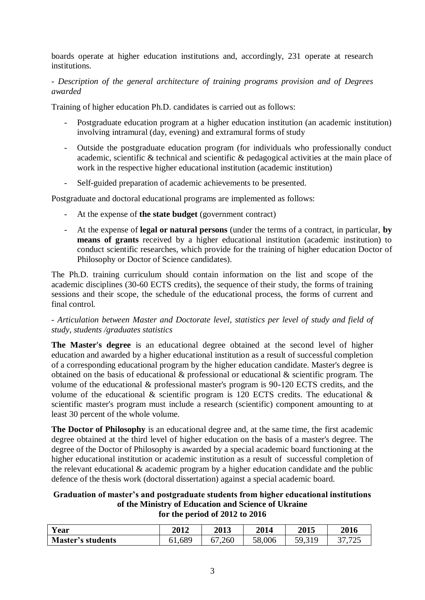boards operate at higher education institutions and, accordingly, 231 operate at research institutions.

#### *- Description of the general architecture of training programs provision and of Degrees awarded*

Training of higher education Ph.D. candidates is carried out as follows:

- Postgraduate education program at a higher education institution (an academic institution) involving intramural (day, evening) and extramural forms of study
- Outside the postgraduate education program (for individuals who professionally conduct academic, scientific & technical and scientific & pedagogical activities at the main place of work in the respective higher educational institution (academic institution)
- Self-guided preparation of academic achievements to be presented.

Postgraduate and doctoral educational programs are implemented as follows:

- At the expense of **the state budget** (government contract)
- At the expense of **legal or natural persons** (under the terms of a contract, in particular, **by means of grants** received by a higher educational institution (academic institution) to conduct scientific researches, which provide for the training of higher education Doctor of Philosophy or Doctor of Science candidates).

The Ph.D. training curriculum should contain information on the list and scope of the academic disciplines (30-60 ECTS credits), the sequence of their study, the forms of training sessions and their scope, the schedule of the educational process, the forms of current and final control.

#### *- Articulation between Master and Doctorate level, statistics per level of study and field of study, students /graduates statistics*

**The Master's degree** is an educational degree obtained at the second level of higher education and awarded by a higher educational institution as a result of successful completion of a corresponding educational program by the higher education candidate. Master's degree is obtained on the basis of educational & professional or educational & scientific program. The volume of the educational & professional master's program is 90-120 ECTS credits, and the volume of the educational  $\&$  scientific program is 120 ECTS credits. The educational  $\&$ scientific master's program must include a research (scientific) component amounting to at least 30 percent of the whole volume.

**The Doctor of Philosophy** is an educational degree and, at the same time, the first academic degree obtained at the third level of higher education on the basis of a master's degree. The degree of the Doctor of Philosophy is awarded by a special academic board functioning at the higher educational institution or academic institution as a result of successful completion of the relevant educational & academic program by a higher education candidate and the public defence of the thesis work (doctoral dissertation) against a special academic board.

#### **Graduation of master's and postgraduate students from higher educational institutions of the Ministry of Education and Science of Ukraine for the period of 2012 to 2016**

| <b>Vear</b>              | 2012   | <b>2013</b>         | 2014   | <b>2015</b> | 2016               |
|--------------------------|--------|---------------------|--------|-------------|--------------------|
| <b>Master's students</b> | 51,689 | ,260<br><u>J / </u> | 58,006 | 310<br>50.  | $ -$<br>1.123<br>ັ |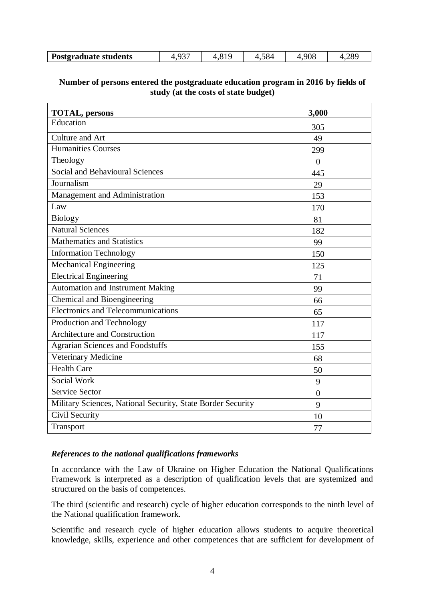### **Number of persons entered the postgraduate education program in 2016 by fields of study (at the costs of state budget)**

| <b>TOTAL, persons</b>                                       | 3,000          |
|-------------------------------------------------------------|----------------|
| Education                                                   | 305            |
| Culture and Art                                             | 49             |
| <b>Humanities Courses</b>                                   | 299            |
| Theology                                                    | $\overline{0}$ |
| Social and Behavioural Sciences                             | 445            |
| Journalism                                                  | 29             |
| Management and Administration                               | 153            |
| Law                                                         | 170            |
| <b>Biology</b>                                              | 81             |
| <b>Natural Sciences</b>                                     | 182            |
| <b>Mathematics and Statistics</b>                           | 99             |
| <b>Information Technology</b>                               | 150            |
| <b>Mechanical Engineering</b>                               | 125            |
| <b>Electrical Engineering</b>                               | 71             |
| <b>Automation and Instrument Making</b>                     | 99             |
| Chemical and Bioengineering                                 | 66             |
| Electronics and Telecommunications                          | 65             |
| Production and Technology                                   | 117            |
| <b>Architecture and Construction</b>                        | 117            |
| <b>Agrarian Sciences and Foodstuffs</b>                     | 155            |
| Veterinary Medicine                                         | 68             |
| <b>Health Care</b>                                          | 50             |
| Social Work                                                 | 9              |
| <b>Service Sector</b>                                       | $\overline{0}$ |
| Military Sciences, National Security, State Border Security | 9              |
| Civil Security                                              | 10             |
| Transport                                                   | 77             |

#### *References to the national qualifications frameworks*

In accordance with the Law of Ukraine on Higher Education the National Qualifications Framework is interpreted as a description of qualification levels that are systemized and structured on the basis of competences.

The third (scientific and research) cycle of higher education corresponds to the ninth level of the National qualification framework.

Scientific and research cycle of higher education allows students to acquire theoretical knowledge, skills, experience and other competences that are sufficient for development of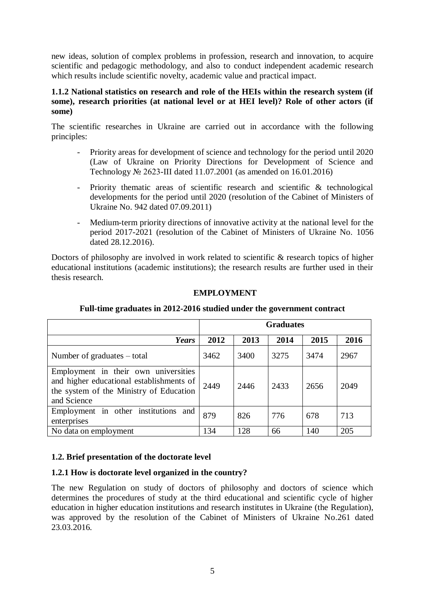new ideas, solution of complex problems in profession, research and innovation, to acquire scientific and pedagogic methodology, and also to conduct independent academic research which results include scientific novelty, academic value and practical impact.

#### **1.1.2 National statistics on research and role of the HEIs within the research system (if some), research priorities (at national level or at HEI level)? Role of other actors (if some)**

The scientific researches in Ukraine are carried out in accordance with the following principles:

- Priority areas for development of science and technology for the period until 2020 (Law of Ukraine on Priority Directions for Development of Science and Technology № 2623-III dated 11.07.2001 (as amended on 16.01.2016)
- Priority thematic areas of scientific research and scientific & technological developments for the period until 2020 (resolution of the Cabinet of Ministers of Ukraine No. 942 dated 07.09.2011)
- Medium-term priority directions of innovative activity at the national level for the period 2017-2021 (resolution of the Cabinet of Ministers of Ukraine No. 1056 dated 28.12.2016).

Doctors of philosophy are involved in work related to scientific & research topics of higher educational institutions (academic institutions); the research results are further used in their thesis research.

# **EMPLOYMENT**

|                                                                                                                                            | <b>Graduates</b> |      |      |      |      |  |
|--------------------------------------------------------------------------------------------------------------------------------------------|------------------|------|------|------|------|--|
| Years                                                                                                                                      | 2012             | 2013 | 2014 | 2015 | 2016 |  |
| Number of graduates – total                                                                                                                | 3462             | 3400 | 3275 | 3474 | 2967 |  |
| Employment in their own universities<br>and higher educational establishments of<br>the system of the Ministry of Education<br>and Science | 2449             | 2446 | 2433 | 2656 | 2049 |  |
| Employment in other institutions<br>and<br>enterprises                                                                                     | 879              | 826  | 776  | 678  | 713  |  |
| No data on employment                                                                                                                      | 134              | 128  | 66   | 140  | 205  |  |

# **Full-time graduates in 2012-2016 studied under the government contract**

# **1.2. Brief presentation of the doctorate level**

### **1.2.1 How is doctorate level organized in the country?**

The new Regulation on study of doctors of philosophy and doctors of science which determines the procedures of study at the third educational and scientific cycle of higher education in higher education institutions and research institutes in Ukraine (the Regulation), was approved by the resolution of the Cabinet of Ministers of Ukraine No.261 dated 23.03.2016.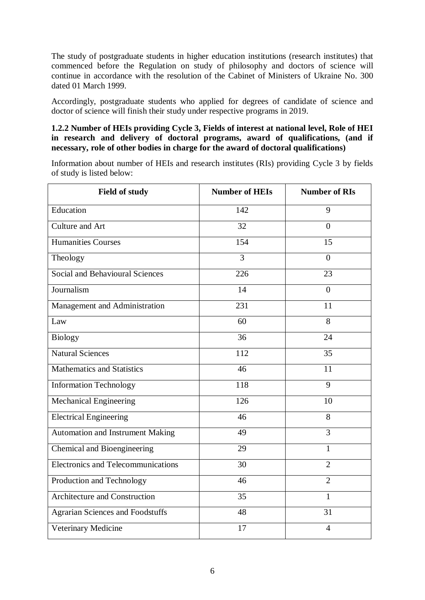The study of postgraduate students in higher education institutions (research institutes) that commenced before the Regulation on study of philosophy and doctors of science will continue in accordance with the resolution of the Cabinet of Ministers of Ukraine No. 300 dated 01 March 1999.

Accordingly, postgraduate students who applied for degrees of candidate of science and doctor of science will finish their study under respective programs in 2019.

#### **1.2.2 Number of HEIs providing Cycle 3, Fields of interest at national level, Role of HEI in research and delivery of doctoral programs, award of qualifications, (and if necessary, role of other bodies in charge for the award of doctoral qualifications)**

Information about number of HEIs and research institutes (RIs) providing Cycle 3 by fields of study is listed below:

| <b>Field of study</b>                     | <b>Number of HEIs</b> | <b>Number of RIs</b> |
|-------------------------------------------|-----------------------|----------------------|
| Education                                 | 142                   | 9                    |
| Culture and Art                           | 32                    | $\theta$             |
| <b>Humanities Courses</b>                 | 154                   | 15                   |
| Theology                                  | $\overline{3}$        | $\theta$             |
| <b>Social and Behavioural Sciences</b>    | 226                   | 23                   |
| Journalism                                | 14                    | $\overline{0}$       |
| Management and Administration             | 231                   | 11                   |
| Law                                       | 60                    | 8                    |
| <b>Biology</b>                            | 36                    | 24                   |
| <b>Natural Sciences</b>                   | 112                   | 35                   |
| <b>Mathematics and Statistics</b>         | 46                    | 11                   |
| <b>Information Technology</b>             | 118                   | 9                    |
| <b>Mechanical Engineering</b>             | $\overline{126}$      | 10                   |
| <b>Electrical Engineering</b>             | 46                    | 8                    |
| <b>Automation and Instrument Making</b>   | 49                    | 3                    |
| Chemical and Bioengineering               | 29                    | $\mathbf{1}$         |
| <b>Electronics and Telecommunications</b> | 30                    | $\overline{2}$       |
| Production and Technology                 | 46                    | $\overline{2}$       |
| Architecture and Construction             | 35                    | $\mathbf{1}$         |
| <b>Agrarian Sciences and Foodstuffs</b>   | 48                    | 31                   |
| Veterinary Medicine                       | 17                    | $\overline{4}$       |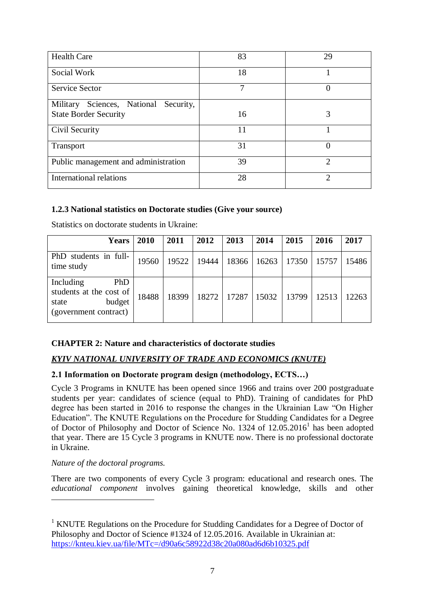| <b>Health Care</b>                    | 83 | 29                          |
|---------------------------------------|----|-----------------------------|
| Social Work                           | 18 |                             |
| <b>Service Sector</b>                 | 7  | $\left($                    |
| Military Sciences, National Security, |    |                             |
| <b>State Border Security</b>          | 16 | 3                           |
| Civil Security                        | 11 |                             |
| Transport                             | 31 | 0                           |
| Public management and administration  | 39 | っ                           |
| <b>International relations</b>        | 28 | $\mathcal{D}_{\mathcal{L}}$ |

### **1.2.3 National statistics on Doctorate studies (Give your source)**

| <b>Years</b>                                                                                   | 2010  | 2011  | 2012  | 2013  | 2014  | 2015  | 2016  | 2017  |
|------------------------------------------------------------------------------------------------|-------|-------|-------|-------|-------|-------|-------|-------|
| PhD students in full-<br>time study                                                            | 19560 | 19522 | 19444 | 18366 | 16263 | 17350 | 15757 | 15486 |
| Including<br><b>PhD</b><br>students at the cost of<br>budget<br>state<br>(government contract) | 18488 | 18399 | 18272 | 17287 | 15032 | 13799 | 12513 | 12263 |

Statistics on doctorate students in Ukraine:

### **CHAPTER 2: Nature and characteristics of doctorate studies**

### *KYIV NATIONAL UNIVERSITY OF TRADE AND ECONOMICS (KNUTE)*

#### **2.1 Information on Doctorate program design (methodology, ECTS…)**

Cycle 3 Programs in KNUTE has been opened since 1966 and trains over 200 postgraduate students per year: candidates of science (equal to PhD). Training of candidates for PhD degree has been started in 2016 to response the changes in the Ukrainian Law "On Higher Education". The KNUTE Regulations on the Procedure for Studding Candidates for a Degree of Doctor of Philosophy and Doctor of Science No. 1324 of 12.05.2016<sup>1</sup> has been adopted that year. There are 15 Cycle 3 programs in KNUTE now. There is no professional doctorate in Ukraine.

#### *Nature of the doctoral programs.*

1

There are two components of every Cycle 3 program: educational and research ones. The *educational component* involves gaining theoretical knowledge, skills and other

<sup>&</sup>lt;sup>1</sup> KNUTE Regulations on the Procedure for Studding Candidates for a Degree of Doctor of Philosophy and Doctor of Science #1324 of 12.05.2016. Available in Ukrainian at: <https://knteu.kiev.ua/file/MTc=/d90a6c58922d38c20a080ad6d6b10325.pdf>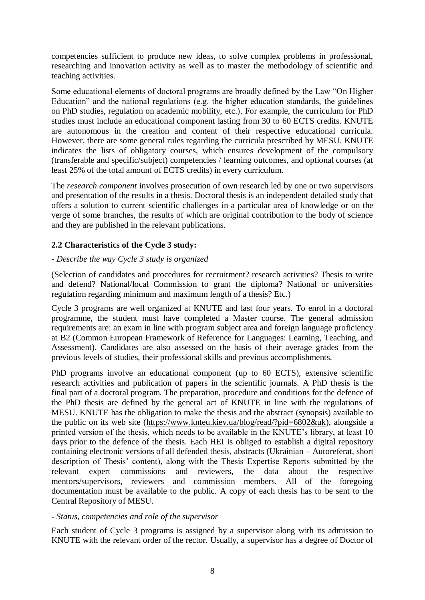competencies sufficient to produce new ideas, to solve complex problems in professional, researching and innovation activity as well as to master the methodology of scientific and teaching activities.

Some educational elements of doctoral programs are broadly defined by the Law "On Higher Education" and the national regulations (e.g. the higher education standards, the guidelines on PhD studies, regulation on academic mobility, etc.). For example, the curriculum for PhD studies must include an educational component lasting from 30 to 60 ECTS credits. KNUTE are autonomous in the creation and content of their respective educational curricula. However, there are some general rules regarding the curricula prescribed by MESU. KNUTE indicates the lists of obligatory courses, which ensures development of the compulsory (transferable and specific/subject) competencies / learning outcomes, and optional courses (at least 25% of the total amount of ECTS credits) in every curriculum.

The *research component* involves prosecution of own research led by one or two supervisors and presentation of the results in a thesis. Doctoral thesis is an independent detailed study that offers a solution to current scientific challenges in a particular area of knowledge or on the verge of some branches, the results of which are original contribution to the body of science and they are published in the relevant publications.

### **2.2 Characteristics of the Cycle 3 study:**

### *- Describe the way Cycle 3 study is organized*

(Selection of candidates and procedures for recruitment? research activities? Thesis to write and defend? National/local Commission to grant the diploma? National or universities regulation regarding minimum and maximum length of a thesis? Etc.)

Cycle 3 programs are well organized at KNUTE and last four years. To enrol in a doctoral programme, the student must have completed a Master course. The general admission requirements are: an exam in line with program subject area and foreign language proficiency at B2 (Common European Framework of Reference for Languages: Learning, Teaching, and Assessment). Candidates are also assessed on the basis of their average grades from the previous levels of studies, their professional skills and previous accomplishments.

PhD programs involve an educational component (up to 60 ECTS), extensive scientific research activities and publication of papers in the scientific journals. A PhD thesis is the final part of a doctoral program. The preparation, procedure and conditions for the defence of the PhD thesis are defined by the general act of KNUTE in line with the regulations of MESU. KNUTE has the obligation to make the thesis and the abstract (synopsis) available to the public on its web site [\(https://www.knteu.kiev.ua/blog/read/?pid=6802&uk\)](https://www.knteu.kiev.ua/blog/read/?pid=6802&uk), alongside a printed version of the thesis, which needs to be available in the KNUTE's library, at least 10 days prior to the defence of the thesis. Each HEI is obliged to establish a digital repository containing electronic versions of all defended thesis, abstracts (Ukrainian – Autoreferat, short description of Thesis' content), along with the Thesis Expertise Reports submitted by the relevant expert commissions and reviewers, the data about the respective relevant expert commissions and reviewers, the data about the mentors/supervisors, reviewers and commission members. All of the foregoing documentation must be available to the public. A copy of each thesis has to be sent to the Central Repository of MESU.

### *- Status, competencies and role of the supervisor*

Each student of Cycle 3 programs is assigned by a supervisor along with its admission to KNUTE with the relevant order of the rector. Usually, a supervisor has a degree of Doctor of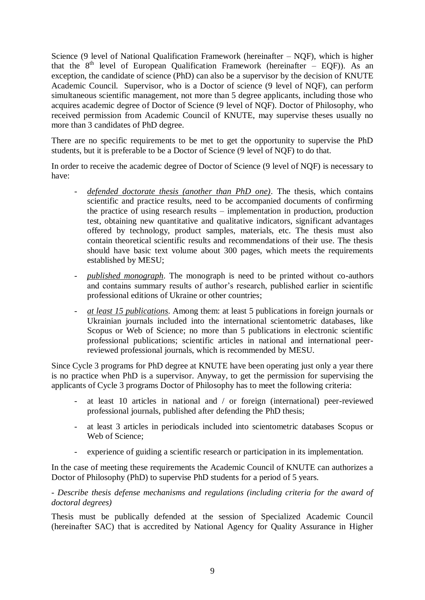Science (9 level of National Qualification Framework (hereinafter – NQF), which is higher that the  $8<sup>th</sup>$  level of European Qualification Framework (hereinafter – EQF)). As an exception, the candidate of science (PhD) can also be a supervisor by the decision of KNUTE Academic Council. Supervisor, who is a Doctor of science (9 level of NQF), can perform simultaneous scientific management, not more than 5 degree applicants, including those who acquires academic degree of Doctor of Science (9 level of NQF). Doctor of Philosophy, who received permission from Academic Council of KNUTE, may supervise theses usually no more than 3 candidates of PhD degree.

There are no specific requirements to be met to get the opportunity to supervise the PhD students, but it is preferable to be a Doctor of Science (9 level of NQF) to do that.

In order to receive the academic degree of Doctor of Science (9 level of NQF) is necessary to have:

- defended doctorate thesis (another than PhD one). The thesis, which contains scientific and practice results, need to be accompanied documents of confirming the practice of using research results – implementation in production, production test, obtaining new quantitative and qualitative indicators, significant advantages offered by technology, product samples, materials, etc. The thesis must also contain theoretical scientific results and recommendations of their use. The thesis should have basic text volume about 300 pages, which meets the requirements established by MESU;
- *published monograph*. The monograph is need to be printed without co-authors and contains summary results of author's research, published earlier in scientific professional editions of Ukraine or other countries;
- *at least 15 publications*. Among them: at least 5 publications in foreign journals or Ukrainian journals included into the international scientometric databases, like Scopus or Web of Science; no more than 5 publications in electronic scientific professional publications; scientific articles in national and international peerreviewed professional journals, which is recommended by MESU.

Since Cycle 3 programs for PhD degree at KNUTE have been operating just only a year there is no practice when PhD is a supervisor. Anyway, to get the permission for supervising the applicants of Cycle 3 programs Doctor of Philosophy has to meet the following criteria:

- at least 10 articles in national and / or foreign (international) peer-reviewed professional journals, published after defending the PhD thesis;
- at least 3 articles in periodicals included into scientometric databases Scopus or Web of Science;
- experience of guiding a scientific research or participation in its implementation.

In the case of meeting these requirements the Academic Council of KNUTE can authorizes a Doctor of Philosophy (PhD) to supervise PhD students for a period of 5 years.

*- Describe thesis defense mechanisms and regulations (including criteria for the award of doctoral degrees)* 

Thesis must be publically defended at the session of Specialized Academic Council (hereinafter SAC) that is accredited by National Agency for Quality Assurance in Higher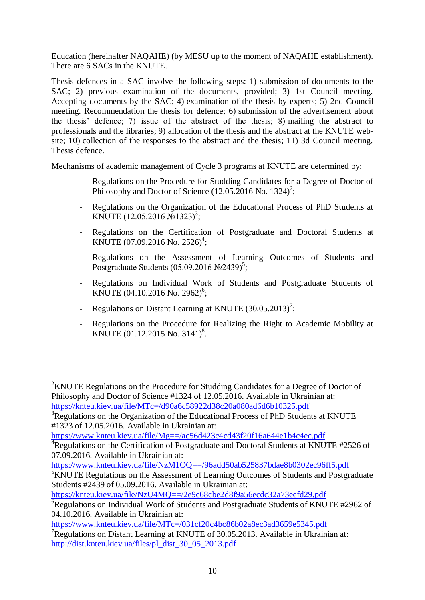Education (hereinafter NAQAHE) (by MESU up to the moment of NAQAHE establishment). There are 6 SACs in the KNUTE.

Thesis defences in a SAC involve the following steps: 1) submission of documents to the SAC; 2) previous examination of the documents, provided; 3) 1st Council meeting. Accepting documents by the SAC; 4) examination of the thesis by experts; 5) 2nd Council meeting. Recommendation the thesis for defence; 6) submission of the advertisement about the thesis' defence; 7) issue of the abstract of the thesis; 8) mailing the abstract to professionals and the libraries; 9) allocation of the thesis and the abstract at the KNUTE website: 10) collection of the responses to the abstract and the thesis; 11) 3d Council meeting. Thesis defence.

Mechanisms of academic management of Cycle 3 programs at KNUTE are determined by:

- Regulations on the Procedure for Studding Candidates for a Degree of Doctor of Philosophy and Doctor of Science  $(12.05.2016 \text{ No. } 1324)^2$ ;
- Regulations on the Organization of the Educational Process of PhD Students at KNUTE (12.05.2016 №1323)<sup>3</sup>;
- Regulations on the Certification of Postgraduate and Doctoral Students at KNUTE (07.09.2016 No. 2526)<sup>4</sup>;
- Regulations on the Assessment of Learning Outcomes of Students and Postgraduate Students  $(05.09.2016 \text{ N}$ <sup>5</sup>;
- Regulations on Individual Work of Students and Postgraduate Students of KNUTE (04.10.2016 No. 2962)<sup>6</sup>;
- Regulations on Distant Learning at KNUTE  $(30.05.2013)^7$ ;

<u>.</u>

- Regulations on the Procedure for Realizing the Right to Academic Mobility at KNUTE (01.12.2015 No. 3141)<sup>8</sup>.

<https://www.knteu.kiev.ua/file/Mg==/ac56d423c4cd43f20f16a644e1b4c4ec.pdf>

<https://knteu.kiev.ua/file/NzU4MQ==/2e9c68cbe2d8f9a56ecdc32a73eefd29.pdf>

<sup>&</sup>lt;sup>2</sup>KNUTE Regulations on the Procedure for Studding Candidates for a Degree of Doctor of Philosophy and Doctor of Science #1324 of 12.05.2016. Available in Ukrainian at: <https://knteu.kiev.ua/file/MTc=/d90a6c58922d38c20a080ad6d6b10325.pdf>

<sup>&</sup>lt;sup>3</sup>Regulations on the Organization of the Educational Process of PhD Students at KNUTE #1323 of 12.05.2016. Available in Ukrainian at:

<sup>&</sup>lt;sup>4</sup>Regulations on the Certification of Postgraduate and Doctoral Students at KNUTE #2526 of 07.09.2016. Available in Ukrainian at:

<https://www.knteu.kiev.ua/file/NzM1OQ==/96add50ab525837bdae8b0302ec96ff5.pdf>

<sup>&</sup>lt;sup>5</sup>KNUTE Regulations on the Assessment of Learning Outcomes of Students and Postgraduate Students #2439 of 05.09.2016. Available in Ukrainian at:

 ${}^{6}$ Regulations on Individual Work of Students and Postgraduate Students of KNUTE #2962 of 04.10.2016. Available in Ukrainian at:

<https://www.knteu.kiev.ua/file/MTc=/031cf20c4bc86b02a8ec3ad3659e5345.pdf> <sup>7</sup>Regulations on Distant Learning at KNUTE of 30.05.2013. Available in Ukrainian at:

[http://dist.knteu.kiev.ua/files/pl\\_dist\\_30\\_05\\_2013.pdf](http://dist.knteu.kiev.ua/files/pl_dist_30_05_2013.pdf)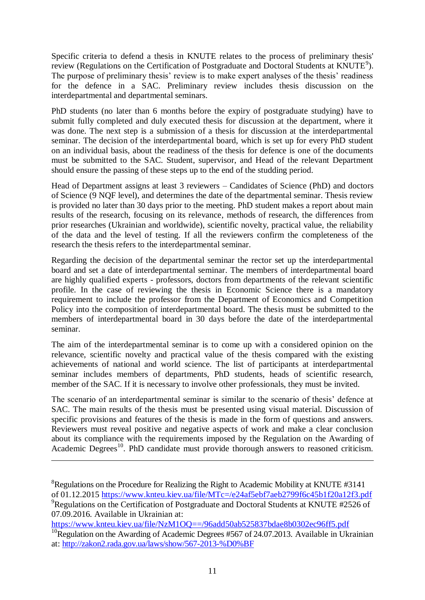Specific criteria to defend a thesis in KNUTE relates to the process of preliminary thesis' review (Regulations on the Certification of Postgraduate and Doctoral Students at KNUTE<sup>9</sup>). The purpose of preliminary thesis' review is to make expert analyses of the thesis' readiness for the defence in a SAC. Preliminary review includes thesis discussion on the interdepartmental and departmental seminars.

PhD students (no later than 6 months before the expiry of postgraduate studying) have to submit fully completed and duly executed thesis for discussion at the department, where it was done. The next step is a submission of a thesis for discussion at the interdepartmental seminar. The decision of the interdepartmental board, which is set up for every PhD student on an individual basis, about the readiness of the thesis for defence is one of the documents must be submitted to the SAC. Student, supervisor, and Head of the relevant Department should ensure the passing of these steps up to the end of the studding period.

Head of Department assigns at least 3 reviewers – Candidates of Science (PhD) and doctors of Science (9 NQF level), and determines the date of the departmental seminar. Thesis review is provided no later than 30 days prior to the meeting. PhD student makes a report about main results of the research, focusing on its relevance, methods of research, the differences from prior researches (Ukrainian and worldwide), scientific novelty, practical value, the reliability of the data and the level of testing. If all the reviewers confirm the completeness of the research the thesis refers to the interdepartmental seminar.

Regarding the decision of the departmental seminar the rector set up the interdepartmental board and set a date of interdepartmental seminar. The members of interdepartmental board are highly qualified experts - professors, doctors from departments of the relevant scientific profile. In the case of reviewing the thesis in Economic Science there is a mandatory requirement to include the professor from the Department of Economics and Competition Policy into the composition of interdepartmental board. The thesis must be submitted to the members of interdepartmental board in 30 days before the date of the interdepartmental seminar.

The aim of the interdepartmental seminar is to come up with a considered opinion on the relevance, scientific novelty and practical value of the thesis compared with the existing achievements of national and world science. The list of participants at interdepartmental seminar includes members of departments, PhD students, heads of scientific research, member of the SAC. If it is necessary to involve other professionals, they must be invited.

The scenario of an interdepartmental seminar is similar to the scenario of thesis' defence at SAC. The main results of the thesis must be presented using visual material. Discussion of specific provisions and features of the thesis is made in the form of questions and answers. Reviewers must reveal positive and negative aspects of work and make a clear conclusion about its compliance with the requirements imposed by the Regulation on the Awarding of Academic Degrees<sup>10</sup>. PhD candidate must provide thorough answers to reasoned criticism.

<u>.</u>

 ${}^{8}$ Regulations on the Procedure for Realizing the Right to Academic Mobility at KNUTE #3141 of 01.12.2015<https://www.knteu.kiev.ua/file/MTc=/e24af5ebf7aeb2799f6c45b1f20a12f3.pdf>  $^{9}$ Regulations on the Certification of Postgraduate and Doctoral Students at KNUTE #2526 of 07.09.2016. Available in Ukrainian at:

<https://www.knteu.kiev.ua/file/NzM1OQ==/96add50ab525837bdae8b0302ec96ff5.pdf>

<sup>&</sup>lt;sup>10</sup>Regulation on the Awarding of Academic Degrees #567 of 24.07.2013. Available in Ukrainian at: <http://zakon2.rada.gov.ua/laws/show/567-2013-%D0%BF>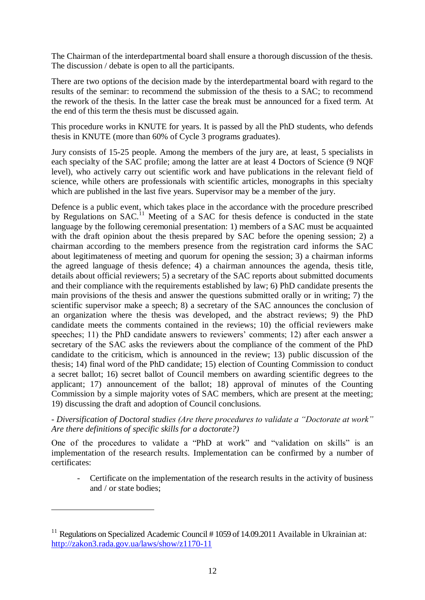The Chairman of the interdepartmental board shall ensure a thorough discussion of the thesis. The discussion / debate is open to all the participants.

There are two options of the decision made by the interdepartmental board with regard to the results of the seminar: to recommend the submission of the thesis to a SAC; to recommend the rework of the thesis. In the latter case the break must be announced for a fixed term. At the end of this term the thesis must be discussed again.

This procedure works in KNUTE for years. It is passed by all the PhD students, who defends thesis in KNUTE (more than 60% of Cycle 3 programs graduates).

Jury consists of 15-25 people. Among the members of the jury are, at least, 5 specialists in each specialty of the SAC profile; among the latter are at least 4 Doctors of Science (9 NQF level), who actively carry out scientific work and have publications in the relevant field of science, while others are professionals with scientific articles, monographs in this specialty which are published in the last five years. Supervisor may be a member of the jury.

Defence is a public event, which takes place in the accordance with the procedure prescribed by Regulations on SAC.<sup>11</sup> Meeting of a SAC for thesis defence is conducted in the state language by the following ceremonial presentation: 1) members of a SAC must be acquainted with the draft opinion about the thesis prepared by SAC before the opening session; 2) a chairman according to the members presence from the registration card informs the SAC about legitimateness of meeting and quorum for opening the session; 3) a chairman informs the agreed language of thesis defence; 4) a chairman announces the agenda, thesis title, details about official reviewers; 5) a secretary of the SAC reports about submitted documents and their compliance with the requirements established by law; 6) PhD candidate presents the main provisions of the thesis and answer the questions submitted orally or in writing; 7) the scientific supervisor make a speech; 8) a secretary of the SAC announces the conclusion of an organization where the thesis was developed, and the abstract reviews; 9) the PhD candidate meets the comments contained in the reviews; 10) the official reviewers make speeches; 11) the PhD candidate answers to reviewers' comments; 12) after each answer a secretary of the SAC asks the reviewers about the compliance of the comment of the PhD candidate to the criticism, which is announced in the review; 13) public discussion of the thesis; 14) final word of the PhD candidate; 15) election of Counting Commission to conduct a secret ballot; 16) secret ballot of Council members on awarding scientific degrees to the applicant; 17) announcement of the ballot; 18) approval of minutes of the Counting Commission by a simple majority votes of SAC members, which are present at the meeting; 19) discussing the draft and adoption of Council conclusions.

### *- Diversification of Doctoral studies (Are there procedures to validate a "Doctorate at work" Are there definitions of specific skills for a doctorate?)*

One of the procedures to validate a "PhD at work" and "validation on skills" is an implementation of the research results. Implementation can be confirmed by a number of certificates:

Certificate on the implementation of the research results in the activity of business and / or state bodies;

1

<sup>&</sup>lt;sup>11</sup> Regulations on Specialized Academic Council # 1059 of 14.09.2011 Available in Ukrainian at: <http://zakon3.rada.gov.ua/laws/show/z1170-11>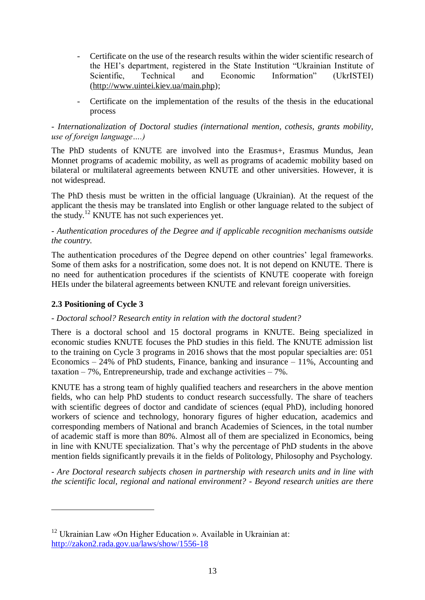- Certificate on the use of the research results within the wider scientific research of the HEI's department, registered in the State Institution "Ukrainian Institute of Scientific. Technical and Economic Information" (UkrISTEI) [\(http://www.uintei.kiev.ua/main.php\)](http://www.uintei.kiev.ua/main.php);
- Certificate on the implementation of the results of the thesis in the educational process

### *- Internationalization of Doctoral studies (international mention, cothesis, grants mobility, use of foreign language….)*

The PhD students of KNUTE are involved into the Erasmus+, Erasmus Mundus, Jean Monnet programs of academic mobility, as well as programs of academic mobility based on bilateral or multilateral agreements between KNUTE and other universities. However, it is not widespread.

The PhD thesis must be written in the official language (Ukrainian). At the request of the applicant the thesis may be translated into English or other language related to the subject of the study.<sup>12</sup> KNUTE has not such experiences yet.

# *- Authentication procedures of the Degree and if applicable recognition mechanisms outside the country.*

The authentication procedures of the Degree depend on other countries' legal frameworks. Some of them asks for a nostrification, some does not. It is not depend on KNUTE. There is no need for authentication procedures if the scientists of KNUTE cooperate with foreign HEIs under the bilateral agreements between KNUTE and relevant foreign universities.

### **2.3 Positioning of Cycle 3**

1

### *- Doctoral school? Research entity in relation with the doctoral student?*

There is a doctoral school and 15 doctoral programs in KNUTE. Being specialized in economic studies KNUTE focuses the PhD studies in this field. The KNUTE admission list to the training on Cycle 3 programs in 2016 shows that the most popular specialties are: 051 Economics – 24% of PhD students, Finance, banking and insurance – 11%, Accounting and taxation  $-7\%$ , Entrepreneurship, trade and exchange activities  $-7\%$ .

KNUTE has a strong team of highly qualified teachers and researchers in the above mention fields, who can help PhD students to conduct research successfully. The share of teachers with scientific degrees of doctor and candidate of sciences (equal PhD), including honored workers of science and technology, honorary figures of higher education, academics and corresponding members of National and branch Academies of Sciences, in the total number of academic staff is more than 80%. Almost all of them are specialized in Economics, being in line with KNUTE specialization. That's why the percentage of PhD students in the above mention fields significantly prevails it in the fields of Politology, Philosophy and Psychology.

*- Are Doctoral research subjects chosen in partnership with research units and in line with the scientific local, regional and national environment? - Beyond research unities are there* 

 $12$  Ukrainian Law «On Higher Education». Available in Ukrainian at: <http://zakon2.rada.gov.ua/laws/show/1556-18>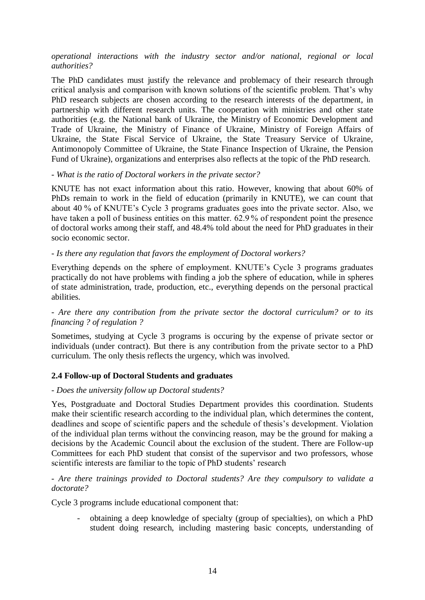#### *operational interactions with the industry sector and/or national, regional or local authorities?*

The PhD candidates must justify the relevance and problemacy of their research through critical analysis and comparison with known solutions of the scientific problem. That's why PhD research subjects are chosen according to the research interests of the department, in partnership with different research units. The cooperation with ministries and other state authorities (e.g. the National bank of Ukraine, the Ministry of Economic Development and Trade of Ukraine, the Ministry of Finance of Ukraine, Ministry of Foreign Affairs of Ukraine, the State Fiscal Service of Ukraine, the State Treasury Service of Ukraine, Antimonopoly Committee of Ukraine, the State Finance Inspection of Ukraine, the Pension Fund of Ukraine), organizations and enterprises also reflects at the topic of the PhD research.

#### *- What is the ratio of Doctoral workers in the private sector?*

KNUTE has not exact information about this ratio. However, knowing that about 60% of PhDs remain to work in the field of education (primarily in KNUTE), we can count that about 40 % of KNUTE's Cycle 3 programs graduates goes into the private sector. Also, we have taken a poll of business entities on this matter. 62.9 % of respondent point the presence of doctoral works among their staff, and 48.4% told about the need for PhD graduates in their socio economic sector.

#### *- Is there any regulation that favors the employment of Doctoral workers?*

Everything depends on the sphere of employment. KNUTE's Cycle 3 programs graduates practically do not have problems with finding a job the sphere of education, while in spheres of state administration, trade, production, etc., everything depends on the personal practical abilities.

#### *- Are there any contribution from the private sector the doctoral curriculum? or to its financing ? of regulation ?*

Sometimes, studying at Cycle 3 programs is occuring by the expense of private sector or individuals (under contract). But there is any contribution from the private sector to a PhD curriculum. The only thesis reflects the urgency, which was involved.

### **2.4 Follow-up of Doctoral Students and graduates**

#### *- Does the university follow up Doctoral students?*

Yes, Postgraduate and Doctoral Studies Department provides this coordination. Students make their scientific research according to the individual plan, which determines the content, deadlines and scope of scientific papers and the schedule of thesis's development. Violation of the individual plan terms without the convincing reason, may be the ground for making a decisions by the Academic Council about the exclusion of the student. There are Follow-up Committees for each PhD student that consist of the supervisor and two professors, whose scientific interests are familiar to the topic of PhD students' research

#### *- Are there trainings provided to Doctoral students? Are they compulsory to validate a doctorate?*

Cycle 3 programs include educational component that:

- obtaining a deep knowledge of specialty (group of specialties), on which a PhD student doing research, including mastering basic concepts, understanding of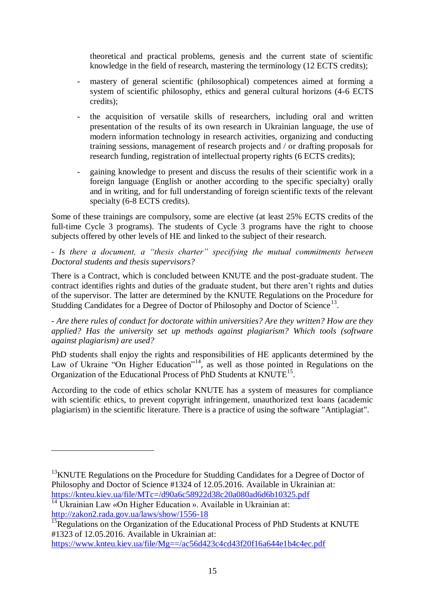theoretical and practical problems, genesis and the current state of scientific knowledge in the field of research, mastering the terminology (12 ECTS credits);

- mastery of general scientific (philosophical) competences aimed at forming a system of scientific philosophy, ethics and general cultural horizons (4-6 ECTS credits);
- the acquisition of versatile skills of researchers, including oral and written presentation of the results of its own research in Ukrainian language, the use of modern information technology in research activities, organizing and conducting training sessions, management of research projects and / or drafting proposals for research funding, registration of intellectual property rights (6 ECTS credits);
- gaining knowledge to present and discuss the results of their scientific work in a foreign language (English or another according to the specific specialty) orally and in writing, and for full understanding of foreign scientific texts of the relevant specialty (6-8 ECTS credits).

Some of these trainings are compulsory, some are elective (at least 25% ECTS credits of the full-time Cycle 3 programs). The students of Cycle 3 programs have the right to choose subjects offered by other levels of HE and linked to the subject of their research.

*- Is there a document, a "thesis charter" specifying the mutual commitments between Doctoral students and thesis supervisors?*

There is a Contract, which is concluded between KNUTE and the post-graduate student. The contract identifies rights and duties of the graduate student, but there aren't rights and duties of the supervisor. The latter are determined by the KNUTE Regulations on the Procedure for Studding Candidates for a Degree of Doctor of Philosophy and Doctor of Science<sup>13</sup>.

*- Are there rules of conduct for doctorate within universities? Are they written? How are they applied? Has the university set up methods against plagiarism? Which tools (software against plagiarism) are used?*

PhD students shall enjoy the rights and responsibilities of HE applicants determined by the Law of Ukraine "On Higher Education"<sup>14</sup>, as well as those pointed in Regulations on the Organization of the Educational Process of PhD Students at KNUTE<sup>15</sup>.

According to the code of ethics scholar KNUTE has a system of measures for compliance with scientific ethics, to prevent copyright infringement, unauthorized text loans (academic plagiarism) in the scientific literature. There is a practice of using the software "Antiplagiat".

1

 $13$ KNUTE Regulations on the Procedure for Studding Candidates for a Degree of Doctor of Philosophy and Doctor of Science #1324 of 12.05.2016. Available in Ukrainian at: <https://knteu.kiev.ua/file/MTc=/d90a6c58922d38c20a080ad6d6b10325.pdf>

 $\frac{14}{14}$  Ukrainian Law «On Higher Education». Available in Ukrainian at: <http://zakon2.rada.gov.ua/laws/show/1556-18>

<sup>&</sup>lt;sup>15</sup>Regulations on the Organization of the Educational Process of PhD Students at KNUTE #1323 of 12.05.2016. Available in Ukrainian at:

<https://www.knteu.kiev.ua/file/Mg==/ac56d423c4cd43f20f16a644e1b4c4ec.pdf>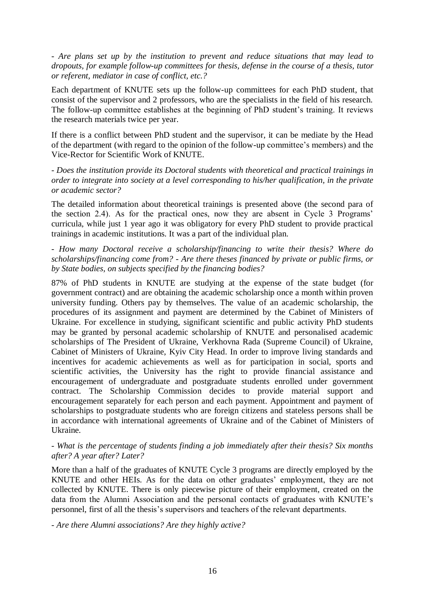*- Are plans set up by the institution to prevent and reduce situations that may lead to dropouts, for example follow-up committees for thesis, defense in the course of a thesis, tutor or referent, mediator in case of conflict, etc.?*

Each department of KNUTE sets up the follow-up committees for each PhD student, that consist of the supervisor and 2 professors, who are the specialists in the field of his research. The follow-up committee establishes at the beginning of PhD student's training. It reviews the research materials twice per year.

If there is a conflict between PhD student and the supervisor, it can be mediate by the Head of the department (with regard to the opinion of the follow-up committee's members) and the Vice-Rector for Scientific Work of KNUTE.

*- Does the institution provide its Doctoral students with theoretical and practical trainings in order to integrate into society at a level corresponding to his/her qualification, in the private or academic sector?*

The detailed information about theoretical trainings is presented above (the second para of the section 2.4). As for the practical ones, now they are absent in Cycle 3 Programs' curricula, while just 1 year ago it was obligatory for every PhD student to provide practical trainings in academic institutions. It was a part of the individual plan.

*- How many Doctoral receive a scholarship/financing to write their thesis? Where do scholarships/financing come from? - Are there theses financed by private or public firms, or by State bodies, on subjects specified by the financing bodies?*

87% of PhD students in KNUTE are studying at the expense of the state budget (for government contract) and are obtaining the academic scholarship once a month within proven university funding. Others pay by themselves. The value of an academic scholarship, the procedures of its assignment and payment are determined by the Cabinet of Ministers of Ukraine. For excellence in studying, significant scientific and public activity PhD students may be granted by personal academic scholarship of KNUTE and personalised academic scholarships of The President of Ukraine, Verkhovna Rada (Supreme Council) of Ukraine, Cabinet of Ministers of Ukraine, Kyiv City Head. In order to improve living standards and incentives for academic achievements as well as for participation in social, sports and scientific activities, the University has the right to provide financial assistance and encouragement of undergraduate and postgraduate students enrolled under government contract. The Scholarship Commission decides to provide material support and encouragement separately for each person and each payment. Appointment and payment of scholarships to postgraduate students who are foreign citizens and stateless persons shall be in accordance with international agreements of Ukraine and of the Cabinet of Ministers of Ukraine.

#### *- What is the percentage of students finding a job immediately after their thesis? Six months after? A year after? Later?*

More than a half of the graduates of KNUTE Cycle 3 programs are directly employed by the KNUTE and other HEIs. As for the data on other graduates' employment, they are not collected by KNUTE. There is only piecewise picture of their employment, created on the data from the Alumni Association and the personal contacts of graduates with KNUTE's personnel, first of all the thesis's supervisors and teachers of the relevant departments.

*- Are there Alumni associations? Are they highly active?*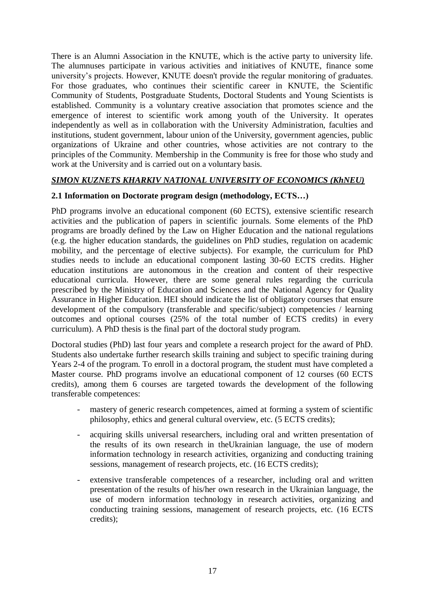There is an Alumni Association in the KNUTE, which is the active party to university life. The alumnuses participate in various activities and initiatives of KNUTE, finance some university's projects. However, KNUTE doesn't provide the regular monitoring of graduates. For those graduates, who continues their scientific career in KNUTE, the Scientific Community of Students, Postgraduate Students, Doctoral Students and Young Scientists is established. Community is a voluntary creative association that promotes science and the emergence of interest to scientific work among youth of the University. It operates independently as well as in collaboration with the University Administration, faculties and institutions, student government, labour union of the University, government agencies, public organizations of Ukraine and other countries, whose activities are not contrary to the principles of the Community. Membership in the Community is free for those who study and work at the University and is carried out on a voluntary basis.

### *SIMON KUZNETS KHARKIV NATIONAL UNIVERSITY OF ECONOMICS (KhNEU)*

# **2.1 Information on Doctorate program design (methodology, ECTS…)**

PhD programs involve an educational component (60 ECTS), extensive scientific research activities and the publication of papers in scientific journals. Some elements of the PhD programs are broadly defined by the Law on Higher Education and the national regulations (e.g. the higher education standards, the guidelines on PhD studies, regulation on academic mobility, and the percentage of elective subjects). For example, the curriculum for PhD studies needs to include an educational component lasting 30-60 ECTS credits. Higher education institutions are autonomous in the creation and content of their respective educational curricula. However, there are some general rules regarding the curricula prescribed by the Ministry of Education and Sciences and the National Agency for Quality Assurance in Higher Education. HEI should indicate the list of obligatory courses that ensure development of the compulsory (transferable and specific/subject) competencies / learning outcomes and optional courses (25% of the total number of ECTS credits) in every curriculum). A PhD thesis is the final part of the doctoral study program.

Doctoral studies (PhD) last four years and complete a research project for the award of PhD. Students also undertake further research skills training and subject to specific training during Years 2-4 of the program. To enroll in a doctoral program, the student must have completed a Master course. PhD programs involve an educational component of 12 courses (60 ECTS credits), among them 6 courses are targeted towards the development of the following transferable competences:

- mastery of generic research competences, aimed at forming a system of scientific philosophy, ethics and general cultural overview, etc. (5 ECTS credits);
- acquiring skills universal researchers, including oral and written presentation of the results of its own research in theUkrainian language, the use of modern information technology in research activities, organizing and conducting training sessions, management of research projects, etc. (16 ECTS credits);
- extensive transferable competences of a researcher, including oral and written presentation of the results of his/her own research in the Ukrainian language, the use of modern information technology in research activities, organizing and conducting training sessions, management of research projects, etc. (16 ECTS credits);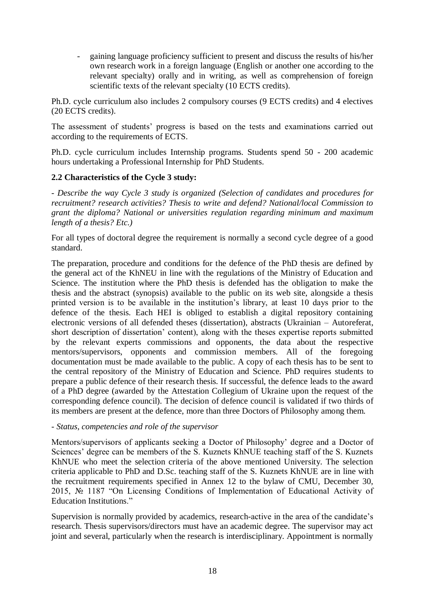- gaining language proficiency sufficient to present and discuss the results of his/her own research work in a foreign language (English or another one according to the relevant specialty) orally and in writing, as well as comprehension of foreign scientific texts of the relevant specialty (10 ECTS credits).

Ph.D. cycle curriculum also includes 2 compulsory courses (9 ECTS credits) and 4 electives (20 ECTS credits).

The assessment of students' progress is based on the tests and examinations carried out according to the requirements of ECTS.

Ph.D. cycle curriculum includes Internship programs. Students spend 50 - 200 academic hours undertaking a Professional Internship for PhD Students.

### **2.2 Characteristics of the Cycle 3 study:**

*- Describe the way Cycle 3 study is organized (Selection of candidates and procedures for recruitment? research activities? Thesis to write and defend? National/local Commission to grant the diploma? National or universities regulation regarding minimum and maximum length of a thesis? Etc.)*

For all types of doctoral degree the requirement is normally a second cycle degree of a good standard.

The preparation, procedure and conditions for the defence of the PhD thesis are defined by the general act of the KhNEU in line with the regulations of the Ministry of Education and Science. The institution where the PhD thesis is defended has the obligation to make the thesis and the abstract (synopsis) available to the public on its web site, alongside a thesis printed version is to be available in the institution's library, at least 10 days prior to the defence of the thesis. Each HEI is obliged to establish a digital repository containing electronic versions of all defended theses (dissertation), abstracts (Ukrainian – Autoreferat, short description of dissertation' content), along with the theses expertise reports submitted by the relevant experts commissions and opponents, the data about the respective mentors/supervisors, opponents and commission members. All of the foregoing documentation must be made available to the public. A copy of each thesis has to be sent to the central repository of the Ministry of Education and Science. PhD requires students to prepare a public defence of their research thesis. If successful, the defence leads to the award of a PhD degree (awarded by the Attestation Collegium of Ukraine upon the request of the corresponding defence council). The decision of defence council is validated if two thirds of its members are present at the defence, more than three Doctors of Philosophy among them.

#### *- Status, competencies and role of the supervisor*

Mentors/supervisors of applicants seeking a Doctor of Philosophy' degree and a Doctor of Sciences' degree can be members of the S. Kuznets KhNUE teaching staff of the S. Kuznets KhNUE who meet the selection criteria of the above mentioned University. The selection criteria applicable to PhD and D.Sc. teaching staff of the S. Kuznets KhNUE are in line with the recruitment requirements specified in Annex 12 to the bylaw of CMU, December 30, 2015, № 1187 "On Licensing Conditions of Implementation of Educational Activity of Education Institutions."

Supervision is normally provided by academics, research-active in the area of the candidate's research. Thesis supervisors/directors must have an academic degree. The supervisor may act joint and several, particularly when the research is interdisciplinary. Appointment is normally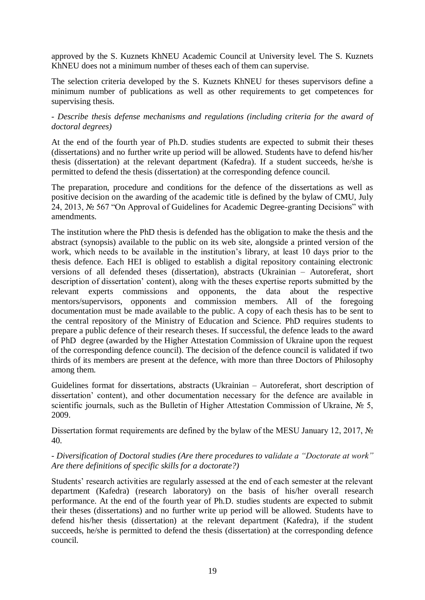approved by the S. Kuznets KhNEU Academic Council at University level. The S. Kuznets KhNEU does not a minimum number of theses each of them can supervise.

The selection criteria developed by the S. Kuznets KhNEU for theses supervisors define a minimum number of publications as well as other requirements to get competences for supervising thesis.

#### *- Describe thesis defense mechanisms and regulations (including criteria for the award of doctoral degrees)*

At the end of the fourth year of Ph.D. studies students are expected to submit their theses (dissertations) and no further write up period will be allowed. Students have to defend his/her thesis (dissertation) at the relevant department (Kafedra). If a student succeeds, he/she is permitted to defend the thesis (dissertation) at the corresponding defence council.

The preparation, procedure and conditions for the defence of the dissertations as well as positive decision on the awarding of the academic title is defined by the bylaw of CMU, July 24, 2013, № 567 "On Approval of Guidelines for Academic Degree-granting Decisions" with amendments.

The institution where the PhD thesis is defended has the obligation to make the thesis and the abstract (synopsis) available to the public on its web site, alongside a printed version of the work, which needs to be available in the institution's library, at least 10 days prior to the thesis defence. Each HEI is obliged to establish a digital repository containing electronic versions of all defended theses (dissertation), abstracts (Ukrainian – Autoreferat, short description of dissertation' content), along with the theses expertise reports submitted by the relevant experts commissions and opponents, the data about the respective mentors/supervisors, opponents and commission members. All of the foregoing documentation must be made available to the public. A copy of each thesis has to be sent to the central repository of the Ministry of Education and Science. PhD requires students to prepare a public defence of their research theses. If successful, the defence leads to the award of PhD degree (awarded by the Higher Attestation Commission of Ukraine upon the request of the corresponding defence council). The decision of the defence council is validated if two thirds of its members are present at the defence, with more than three Doctors of Philosophy among them.

Guidelines format for dissertations, abstracts (Ukrainian – Autoreferat, short description of dissertation' content), and other documentation necessary for the defence are available in scientific journals, such as the Bulletin of Higher Attestation Commission of Ukraine, № 5, 2009.

Dissertation format requirements are defined by the bylaw of the MESU January 12, 2017, № 40.

#### *- Diversification of Doctoral studies (Are there procedures to validate a "Doctorate at work" Are there definitions of specific skills for a doctorate?)*

Students' research activities are regularly assessed at the end of each semester at the relevant department (Kafedra) (research laboratory) on the basis of his/her overall research performance. At the end of the fourth year of Ph.D. studies students are expected to submit their theses (dissertations) and no further write up period will be allowed. Students have to defend his/her thesis (dissertation) at the relevant department (Kafedra), if the student succeeds, he/she is permitted to defend the thesis (dissertation) at the corresponding defence council.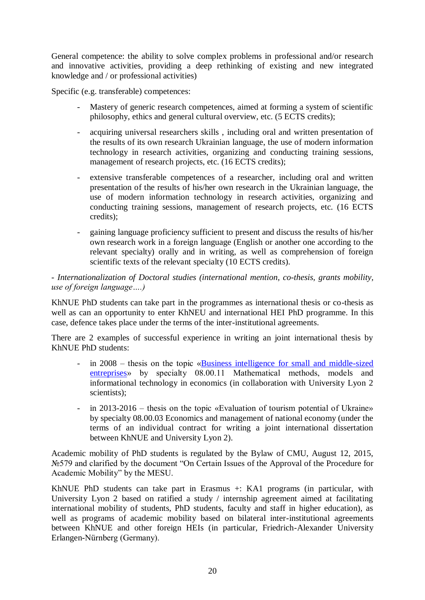General competence: the ability to solve complex problems in professional and/or research and innovative activities, providing a deep rethinking of existing and new integrated knowledge and / or professional activities)

Specific (e.g. transferable) competences:

- Mastery of generic research competences, aimed at forming a system of scientific philosophy, ethics and general cultural overview, etc. (5 ECTS credits);
- acquiring universal researchers skills , including oral and written presentation of the results of its own research Ukrainian language, the use of modern information technology in research activities, organizing and conducting training sessions, management of research projects, etc. (16 ECTS credits);
- extensive transferable competences of a researcher, including oral and written presentation of the results of his/her own research in the Ukrainian language, the use of modern information technology in research activities, organizing and conducting training sessions, management of research projects, etc. (16 ECTS credits);
- gaining language proficiency sufficient to present and discuss the results of his/her own research work in a foreign language (English or another one according to the relevant specialty) orally and in writing, as well as comprehension of foreign scientific texts of the relevant specialty (10 ECTS credits).

*- Internationalization of Doctoral studies (international mention, co-thesis, grants mobility, use of foreign language….)*

KhNUE PhD students can take part in the programmes as international thesis or co-thesis as well as can an opportunity to enter KhNEU and international HEI PhD programme. In this case, defence takes place under the terms of the inter-institutional agreements.

There are 2 examples of successful experience in writing an joint international thesis by KhNUE PhD students:

- in 2008 thesis on the topic «Business intelligence for small and middle-sized [entreprises»](https://scholar.google.com.ua/citations?view_op=view_citation&hl=en&user=Ez4W7BkAAAAJ&citation_for_view=Ez4W7BkAAAAJ:u5HHmVD_uO8C) by specialty 08.00.11 Mathematical methods, models and informational technology in economics (in collaboration with University Lyon 2 scientists):
- in 2013-2016 thesis on the topic «Evaluation of tourism potential of Ukraine» by specialty 08.00.03 Economics and management of national economy (under the terms of an individual contract for writing a joint international dissertation between KhNUE and University Lyon 2).

Academic mobility of PhD students is regulated by the Bylaw of CMU, August 12, 2015, №579 and clarified by the document "On Certain Issues of the Approval of the Procedure for Academic Mobility" by the MESU.

KhNUE PhD students can take part in Erasmus +: KA1 programs (in particular, with University Lyon 2 based on ratified a study / internship agreement aimed at facilitating international mobility of students, PhD students, faculty and staff in higher education), as well as programs of academic mobility based on bilateral inter-institutional agreements between KhNUE and other foreign HEIs (in particular, Friedrich-Alexander University Erlangen-Nürnberg (Germany).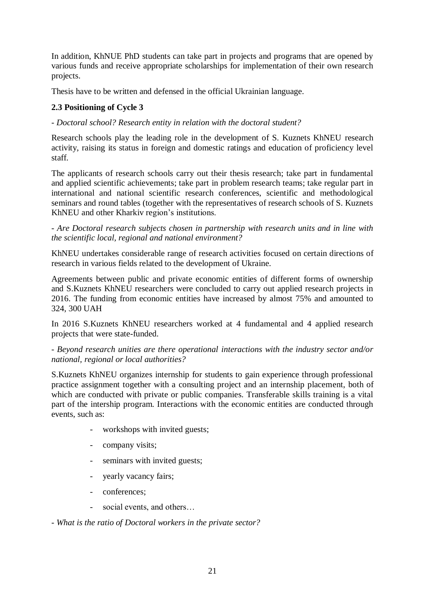In addition, KhNUE PhD students can take part in projects and programs that are opened by various funds and receive appropriate scholarships for implementation of their own research projects.

Thesis have to be written and defensed in the official Ukrainian language.

# **2.3 Positioning of Cycle 3**

#### *- Doctoral school? Research entity in relation with the doctoral student?*

Research schools play the leading role in the development of S. Kuznets KhNEU research activity, raising its status in foreign and domestic ratings and education of proficiency level staff.

The applicants of research schools carry out their thesis research; take part in fundamental and applied scientific achievements; take part in problem research teams; take regular part in international and national scientific research conferences, scientific and methodological seminars and round tables (together with the representatives of research schools of S. Kuznets KhNEU and other Kharkiv region's institutions.

#### *- Are Doctoral research subjects chosen in partnership with research units and in line with the scientific local, regional and national environment?*

KhNEU undertakes considerable range of research activities focused on certain directions of research in various fields related to the development of Ukraine.

Agreements between public and private economic entities of different forms of ownership and S.Kuznets KhNEU researchers were concluded to carry out applied research projects in 2016. The funding from economic entities have increased by almost 75% and amounted to 324, 300 UAH

In 2016 S.Kuznets KhNEU researchers worked at 4 fundamental and 4 applied research projects that were state-funded.

#### *- Beyond research unities are there operational interactions with the industry sector and/or national, regional or local authorities?*

S.Kuznets KhNEU organizes internship for students to gain experience through professional practice assignment together with a consulting project and an internship placement, both of which are conducted with private or public companies. Transferable skills training is a vital part of the intership program. Interactions with the economic entities are conducted through events, such as:

- workshops with invited guests;
- company visits;
- seminars with invited guests;
- yearly vacancy fairs;
- conferences;
- social events, and others...

*- What is the ratio of Doctoral workers in the private sector?*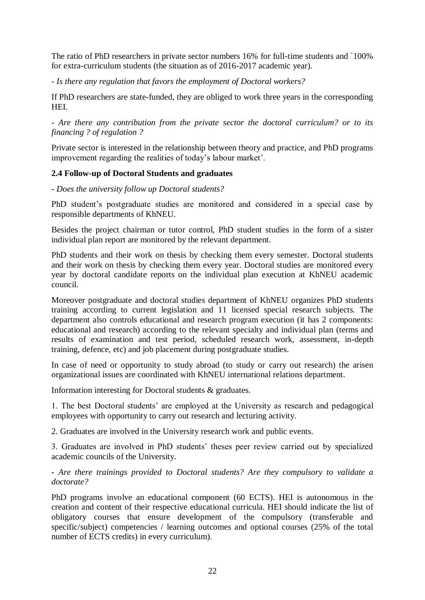The ratio of PhD researchers in private sector numbers 16% for full-time students and `100% for extra-curriculum students (the situation as of 2016-2017 academic year).

*- Is there any regulation that favors the employment of Doctoral workers?*

If PhD researchers are state-funded, they are obliged to work three years in the corresponding HEI.

*- Are there any contribution from the private sector the doctoral curriculum? or to its financing ? of regulation ?*

Private sector is interested in the relationship between theory and practice, and PhD programs improvement regarding the realities of today's labour market'.

#### **2.4 Follow-up of Doctoral Students and graduates**

*- Does the university follow up Doctoral students?*

PhD student's postgraduate studies are monitored and considered in a special case by responsible departments of KhNEU.

Besides the project chairman or tutor control, PhD student studies in the form of a sister individual plan report are monitored by the relevant department.

PhD students and their work on thesis by checking them every semester. Doctoral students and their work on thesis by checking them every year. Doctoral studies are monitored every year by doctoral candidate reports on the individual plan execution at KhNEU academic council.

Moreover postgraduate and doctoral studies department of KhNEU organizes PhD students training according to current legislation and 11 licensed special research subjects. The department also controls educational and research program execution (it has 2 components: educational and research) according to the relevant specialty and individual plan (terms and results of examination and test period, scheduled research work, assessment, in-depth training, defence, etc) and job placement during postgraduate studies.

In case of need or opportunity to study abroad (to study or carry out research) the arisen organizational issues are coordinated with KhNEU international relations department.

Information interesting for Doctoral students & graduates.

1. The best Doctoral students' are employed at the University as research and pedagogical employees with opportunity to carry out research and lecturing activity.

2. Graduates are involved in the University research work and public events.

3. Graduates are involved in PhD students' theses peer review carried out by specialized academic councils of the University.

#### *- Are there trainings provided to Doctoral students? Are they compulsory to validate a doctorate?*

PhD programs involve an educational component (60 ECTS). HEI is autonomous in the creation and content of their respective educational curricula. HEI should indicate the list of obligatory courses that ensure development of the compulsory (transferable and specific/subject) competencies / learning outcomes and optional courses (25% of the total number of ECTS credits) in every curriculum).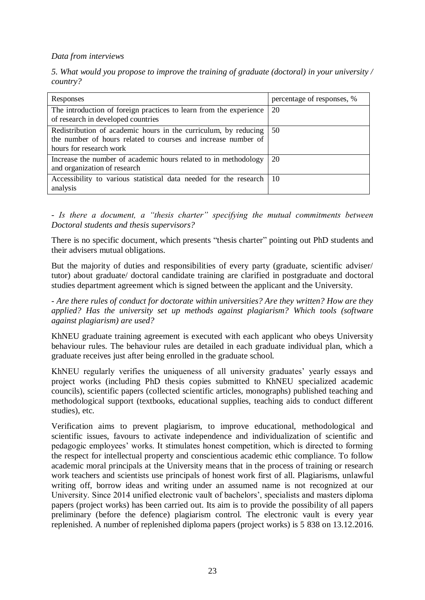#### *Data from interviews*

|          |  |  |  | 5. What would you propose to improve the training of graduate (doctoral) in your university / |
|----------|--|--|--|-----------------------------------------------------------------------------------------------|
| country? |  |  |  |                                                                                               |

| Responses                                                                                                                                                   | percentage of responses, % |
|-------------------------------------------------------------------------------------------------------------------------------------------------------------|----------------------------|
| The introduction of foreign practices to learn from the experience<br>of research in developed countries                                                    | 20                         |
| Redistribution of academic hours in the curriculum, by reducing<br>the number of hours related to courses and increase number of<br>hours for research work | 50                         |
| Increase the number of academic hours related to in methodology<br>and organization of research                                                             | 20                         |
| Accessibility to various statistical data needed for the research  <br>analysis                                                                             | -10                        |

*- Is there a document, a "thesis charter" specifying the mutual commitments between Doctoral students and thesis supervisors?*

There is no specific document, which presents "thesis charter" pointing out PhD students and their advisers mutual obligations.

But the majority of duties and responsibilities of every party (graduate, scientific adviser/ tutor) about graduate/ doctoral candidate training are clarified in postgraduate and doctoral studies department agreement which is signed between the applicant and the University.

*- Are there rules of conduct for doctorate within universities? Are they written? How are they applied? Has the university set up methods against plagiarism? Which tools (software against plagiarism) are used?*

KhNEU graduate training agreement is executed with each applicant who obeys University behaviour rules. The behaviour rules are detailed in each graduate individual plan, which a graduate receives just after being enrolled in the graduate school.

KhNEU regularly verifies the uniqueness of all university graduates' yearly essays and project works (including PhD thesis copies submitted to KhNEU specialized academic councils), scientific papers (collected scientific articles, monographs) published teaching and methodological support (textbooks, educational supplies, teaching aids to conduct different studies), etc.

Verification aims to prevent plagiarism, to improve educational, methodological and scientific issues, favours to activate independence and individualization of scientific and pedagogic employees' works. It stimulates honest competition, which is directed to forming the respect for intellectual property and conscientious academic ethic compliance. To follow academic moral principals at the University means that in the process of training or research work teachers and scientists use principals of honest work first of all. Plagiarisms, unlawful writing off, borrow ideas and writing under an assumed name is not recognized at our University. Since 2014 unified electronic vault of bachelors', specialists and masters diploma papers (project works) has been carried out. Its aim is to provide the possibility of all papers preliminary (before the defence) plagiarism control. The electronic vault is every year replenished. A number of replenished diploma papers (project works) is 5 838 on 13.12.2016.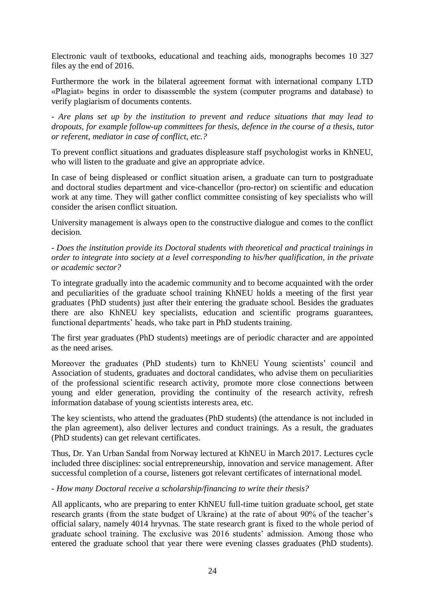Electronic vault of textbooks, educational and teaching aids, monographs becomes 10 327 files ay the end of 2016.

Furthermore the work in the bilateral agreement format with international company LTD «Plagiat» begins in order to disassemble the system (computer programs and database) to verify plagiarism of documents contents.

*- Are plans set up by the institution to prevent and reduce situations that may lead to dropouts, for example follow-up committees for thesis, defence in the course of a thesis, tutor or referent, mediator in case of conflict, etc.?*

To prevent conflict situations and graduates displeasure staff psychologist works in KhNEU, who will listen to the graduate and give an appropriate advice.

In case of being displeased or conflict situation arisen, a graduate can turn to postgraduate and doctoral studies department and vice-chancellor (pro-rector) on scientific and education work at any time. They will gather conflict committee consisting of key specialists who will consider the arisen conflict situation.

University management is always open to the constructive dialogue and comes to the conflict decision.

*- Does the institution provide its Doctoral students with theoretical and practical trainings in order to integrate into society at a level corresponding to his/her qualification, in the private or academic sector?*

To integrate gradually into the academic community and to become acquainted with the order and peculiarities of the graduate school training KhNEU holds a meeting of the first year graduates {PhD students) just after their entering the graduate school. Besides the graduates there are also KhNEU key specialists, education and scientific programs guarantees, functional departments' heads, who take part in PhD students training.

The first year graduates (PhD students) meetings are of periodic character and are appointed as the need arises.

Moreover the graduates (PhD students) turn to KhNEU Young scientists' council and Association of students, graduates and doctoral candidates, who advise them on peculiarities of the professional scientific research activity, promote more close connections between young and elder generation, providing the continuity of the research activity, refresh information database of young scientists interests area, etc.

The key scientists, who attend the graduates (PhD students) (the attendance is not included in the plan agreement), also deliver lectures and conduct trainings. As a result, the graduates (PhD students) can get relevant certificates.

Thus, Dr. Yan Urban Sandal from Norway lectured at KhNEU in March 2017. Lectures cycle included three disciplines: social entrepreneurship, innovation and service management. After successful completion of a course, listeners got relevant certificates of international model.

#### *- How many Doctoral receive a scholarship/financing to write their thesis?*

All applicants, who are preparing to enter KhNEU full-time tuition graduate school, get state research grants (from the state budget of Ukraine) at the rate of about 90% of the teacher's official salary, namely 4014 hryvnas. The state research grant is fixed to the whole period of graduate school training. The exclusive was 2016 students' admission. Among those who entered the graduate school that year there were evening classes graduates (PhD students).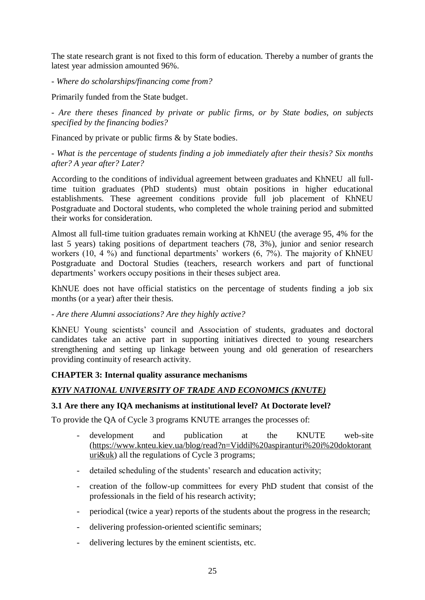The state research grant is not fixed to this form of education. Thereby a number of grants the latest year admission amounted 96%.

#### *- Where do scholarships/financing come from?*

Primarily funded from the State budget.

*- Are there theses financed by private or public firms, or by State bodies, on subjects specified by the financing bodies?*

Financed by private or public firms & by State bodies.

*- What is the percentage of students finding a job immediately after their thesis? Six months after? A year after? Later?* 

According to the conditions of individual agreement between graduates and KhNEU all fulltime tuition graduates (PhD students) must obtain positions in higher educational establishments. These agreement conditions provide full job placement of KhNEU Postgraduate and Doctoral students, who completed the whole training period and submitted their works for consideration.

Almost all full-time tuition graduates remain working at KhNEU (the average 95, 4% for the last 5 years) taking positions of department teachers (78, 3%), junior and senior research workers (10, 4 %) and functional departments' workers (6, 7%). The majority of KhNEU Postgraduate and Doctoral Studies (teachers, research workers and part of functional departments' workers occupy positions in their theses subject area.

KhNUE does not have official statistics on the percentage of students finding a job six months (or a year) after their thesis.

#### *- Are there Alumni associations? Are they highly active?*

KhNEU Young scientists' council and Association of students, graduates and doctoral candidates take an active part in supporting initiatives directed to young researchers strengthening and setting up linkage between young and old generation of researchers providing continuity of research activity.

#### **CHAPTER 3: Internal quality assurance mechanisms**

### *KYIV NATIONAL UNIVERSITY OF TRADE AND ECONOMICS (KNUTE)*

#### **3.1 Are there any IQA mechanisms at institutional level? At Doctorate level?**

To provide the QA of Cycle 3 programs KNUTE arranges the processes of:

- development and publication at the KNUTE web-site [\(https://www.knteu.kiev.ua/blog/read?n=Viddil%20aspiranturi%20i%20doktorant](https://www.knteu.kiev.ua/blog/read?n=Viddil%20aspiranturi%20i%20doktoranturi&uk) [uri&uk\)](https://www.knteu.kiev.ua/blog/read?n=Viddil%20aspiranturi%20i%20doktoranturi&uk) all the regulations of Cycle 3 programs;
- detailed scheduling of the students' research and education activity;
- creation of the follow-up committees for every PhD student that consist of the professionals in the field of his research activity;
- periodical (twice a year) reports of the students about the progress in the research;
- delivering profession-oriented scientific seminars;
- delivering lectures by the eminent scientists, etc.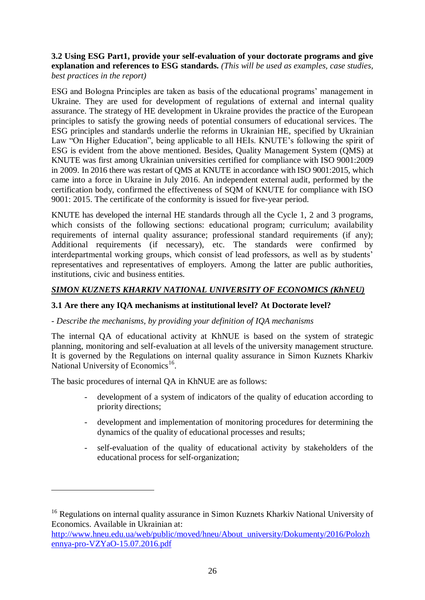#### **3.2 Using ESG Part1, provide your self-evaluation of your doctorate programs and give explanation and references to ESG standards.** *(This will be used as examples, case studies, best practices in the report)*

ESG and Bologna Principles are taken as basis of the educational programs' management in Ukraine. They are used for development of regulations of external and internal quality assurance. The strategy of HE development in Ukraine provides the practice of the European principles to satisfy the growing needs of potential consumers of educational services. The ESG principles and standards underlie the reforms in Ukrainian HE, specified by Ukrainian Law "On Higher Education", being applicable to all HEIs. KNUTE's following the spirit of ESG is evident from the above mentioned. Besides, Quality Management System (QMS) at KNUTE was first among Ukrainian universities certified for compliance with ISO 9001:2009 in 2009. In 2016 there was restart of QMS at KNUTE in accordance with ISO 9001:2015, which came into a force in Ukraine in July 2016. An independent external audit, performed by the certification body, confirmed the effectiveness of SQM of KNUTE for compliance with ISO 9001: 2015. The certificate of the conformity is issued for five-year period.

KNUTE has developed the internal HE standards through all the Cycle 1, 2 and 3 programs, which consists of the following sections: educational program; curriculum; availability requirements of internal quality assurance; professional standard requirements (if any); Additional requirements (if necessary), etc. The standards were confirmed by interdepartmental working groups, which consist of lead professors, as well as by students' representatives and representatives of employers. Among the latter are public authorities, institutions, civic and business entities.

# *SIMON KUZNETS KHARKIV NATIONAL UNIVERSITY OF ECONOMICS (KhNEU)*

### **3.1 Are there any IQA mechanisms at institutional level? At Doctorate level?**

### *- Describe the mechanisms, by providing your definition of IQA mechanisms*

The internal QA of educational activity at KhNUE is based on the system of strategic planning, monitoring and self-evaluation at all levels of the university management structure. It is governed by the Regulations on internal quality assurance in Simon Kuznets Kharkiv National University of Economics<sup>16</sup>.

The basic procedures of internal QA in KhNUE are as follows:

<u>.</u>

- development of a system of indicators of the quality of education according to priority directions;
- development and implementation of monitoring procedures for determining the dynamics of the quality of educational processes and results;
- self-evaluation of the quality of educational activity by stakeholders of the educational process for self-organization;

<sup>&</sup>lt;sup>16</sup> Regulations on internal quality assurance in Simon Kuznets Kharkiv National University of Economics. Available in Ukrainian at:

[http://www.hneu.edu.ua/web/public/moved/hneu/About\\_university/Dokumenty/2016/Polozh](http://www.hneu.edu.ua/web/public/moved/hneu/About_university/Dokumenty/2016/Polozhennya-pro-VZYaO-15.07.2016.pdf) [ennya-pro-VZYaO-15.07.2016.pdf](http://www.hneu.edu.ua/web/public/moved/hneu/About_university/Dokumenty/2016/Polozhennya-pro-VZYaO-15.07.2016.pdf)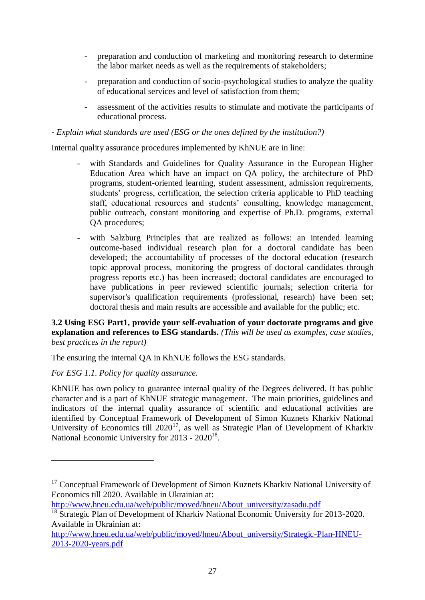- preparation and conduction of marketing and monitoring research to determine the labor market needs as well as the requirements of stakeholders;
- preparation and conduction of socio-psychological studies to analyze the quality of educational services and level of satisfaction from them;
- assessment of the activities results to stimulate and motivate the participants of educational process.

#### *- Explain what standards are used (ESG or the ones defined by the institution?)*

Internal quality assurance procedures implemented by KhNUE are in line:

- with Standards and Guidelines for Quality Assurance in the European Higher Education Area which have an impact on QA policy, the architecture of PhD programs, student-oriented learning, student assessment, admission requirements, students' progress, certification, the selection criteria applicable to PhD teaching staff, educational resources and students' consulting, knowledge management, public outreach, constant monitoring and expertise of Ph.D. programs, external QA procedures;
- with Salzburg Principles that are realized as follows: an intended learning outcome-based individual research plan for a doctoral candidate has been developed; the accountability of processes of the doctoral education (research topic approval process, monitoring the progress of doctoral candidates through progress reports etc.) has been increased; doctoral candidates are encouraged to have publications in peer reviewed scientific journals; selection criteria for supervisor's qualification requirements (professional, research) have been set; doctoral thesis and main results are accessible and available for the public; etc.

#### **3.2 Using ESG Part1, provide your self-evaluation of your doctorate programs and give explanation and references to ESG standards.** *(This will be used as examples, case studies, best practices in the report)*

The ensuring the internal QA in KhNUE follows the ESG standards.

### *For ESG 1.1. Policy for quality assurance.*

<u>.</u>

KhNUE has own policy to guarantee internal quality of the Degrees delivered. It has public character and is a part of KhNUE strategic management. The main priorities, guidelines and indicators of the internal quality assurance of scientific and educational activities are identified by Conceptual Framework of Development of Simon Kuznets Kharkiv National University of Economics till  $2020^{17}$ , as well as Strategic Plan of Development of Kharkiv National Economic University for 2013 - 2020<sup>18</sup>.

[http://www.hneu.edu.ua/web/public/moved/hneu/About\\_university/zasadu.pdf](http://www.hneu.edu.ua/web/public/moved/hneu/About_university/zasadu.pdf)

<sup>&</sup>lt;sup>17</sup> Conceptual Framework of Development of Simon Kuznets Kharkiv National University of Economics till 2020. Available in Ukrainian at:

<sup>&</sup>lt;sup>18</sup> Strategic Plan of Development of Kharkiv National Economic University for 2013-2020. Available in Ukrainian at:

[http://www.hneu.edu.ua/web/public/moved/hneu/About\\_university/Strategic-Plan-HNEU-](http://www.hneu.edu.ua/web/public/moved/hneu/About_university/Strategic-Plan-HNEU-2013-2020-years.pdf)[2013-2020-years.pdf](http://www.hneu.edu.ua/web/public/moved/hneu/About_university/Strategic-Plan-HNEU-2013-2020-years.pdf)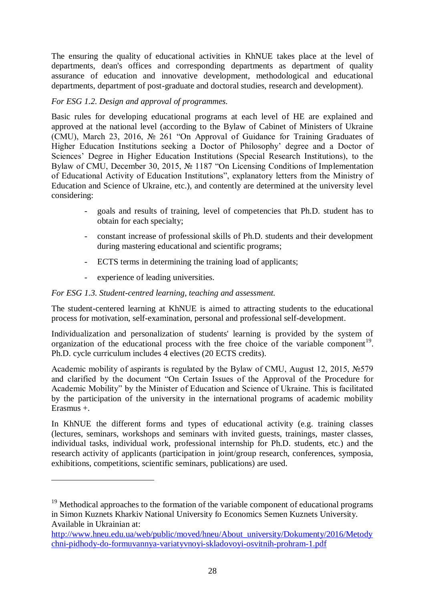The ensuring the quality of educational activities in KhNUE takes place at the level of departments, dean's offices and corresponding departments as department of quality assurance of education and innovative development, methodological and educational departments, department of post-graduate and doctoral studies, research and development).

# *For ESG 1.2. Design and approval of programmes.*

Basic rules for developing educational programs at each level of HE are explained and approved at the national level (according to the Bylaw of Cabinet of Ministers of Ukraine (CMU), March 23, 2016, № 261 "On Approval of Guidance for Training Graduates of Higher Education Institutions seeking a Doctor of Philosophy' degree and a Doctor of Sciences' Degree in Higher Education Institutions (Special Research Institutions), to the Bylaw of CMU, December 30, 2015, № 1187 "On Licensing Conditions of Implementation of Educational Activity of Education Institutions", explanatory letters from the Ministry of Education and Science of Ukraine, etc.), and contently are determined at the university level considering:

- goals and results of training, level of competencies that Ph.D. student has to obtain for each specialty;
- constant increase of professional skills of Ph.D. students and their development during mastering educational and scientific programs;
- ECTS terms in determining the training load of applicants;
- experience of leading universities.

<u>.</u>

### *For ESG 1.3. Student-centred learning, teaching and assessment.*

The student-centered learning at KhNUE is aimed to attracting students to the educational process for motivation, self-examination, personal and professional self-development.

Individualization and personalization of students' learning is provided by the system of organization of the educational process with the free choice of the variable component<sup>19</sup>. Ph.D. cycle curriculum includes 4 electives (20 ECTS credits).

Academic mobility of aspirants is regulated by the Bylaw of CMU, August 12, 2015, №579 and clarified by the document "On Certain Issues of the Approval of the Procedure for Academic Mobility" by the Minister of Education and Science of Ukraine. This is facilitated by the participation of the university in the international programs of academic mobility Erasmus +.

In KhNUE the different forms and types of educational activity (e.g. training classes (lectures, seminars, workshops and seminars with invited guests, trainings, master classes, individual tasks, individual work, professional internship for Ph.D. students, etc.) and the research activity of applicants (participation in joint/group research, conferences, symposia, exhibitions, competitions, scientific seminars, publications) are used.

 $19$  Methodical approaches to the formation of the variable component of educational programs in Simon Kuznets Kharkiv National University fo Economics Semen Kuznets University. Available in Ukrainian at:

[http://www.hneu.edu.ua/web/public/moved/hneu/About\\_university/Dokumenty/2016/Metody](http://www.hneu.edu.ua/web/public/moved/hneu/About_university/Dokumenty/2016/Metodychni-pidhody-do-formuvannya-variatyvnoyi-skladovoyi-osvitnih-prohram-1.pdf) [chni-pidhody-do-formuvannya-variatyvnoyi-skladovoyi-osvitnih-prohram-1.pdf](http://www.hneu.edu.ua/web/public/moved/hneu/About_university/Dokumenty/2016/Metodychni-pidhody-do-formuvannya-variatyvnoyi-skladovoyi-osvitnih-prohram-1.pdf)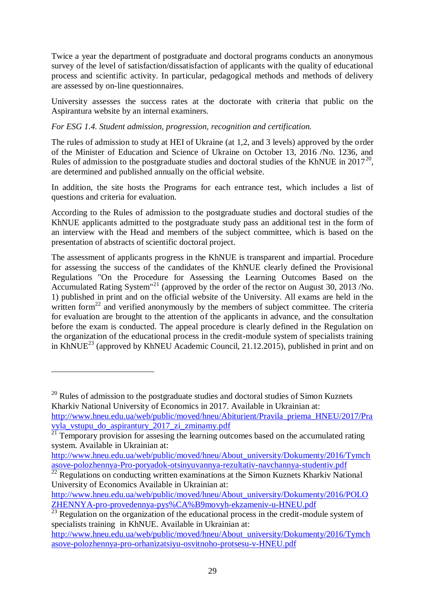Twice a year the department of postgraduate and doctoral programs conducts an anonymous survey of the level of satisfaction/dissatisfaction of applicants with the quality of educational process and scientific activity. In particular, pedagogical methods and methods of delivery are assessed by on-line questionnaires.

University assesses the success rates at the doctorate with criteria that public on the Aspirantura website by an internal examiners.

# *For ESG 1.4. Student admission, progression, recognition and certification.*

The rules of admission to study at HEI of Ukraine (at 1,2, and 3 levels) approved by the order of the Minister of Education and Science of Ukraine on October 13, 2016 /No. 1236, and Rules of admission to the postgraduate studies and doctoral studies of the KhNUE in  $2017^{20}$ , are determined and published annually on the official website.

In addition, the site hosts the Programs for each entrance test, which includes a list of questions and criteria for evaluation.

According to the Rules of admission to the postgraduate studies and doctoral studies of the KhNUE applicants admitted to the postgraduate study pass an additional test in the form of an interview with the Head and members of the subject committee, which is based on the presentation of abstracts of scientific doctoral project.

The assessment of applicants progress in the KhNUE is transparent and impartial. Procedure for assessing the success of the candidates of the KhNUE clearly defined the Provisional Regulations "On the Procedure for Assessing the Learning Outcomes Based on the Accumulated Rating System<sup>"21</sup> (approved by the order of the rector on August 30, 2013 /No. 1) published in print and on the official website of the University. All exams are held in the written form<sup>22</sup> and verified anonymously by the members of subject committee. The criteria for evaluation are brought to the attention of the applicants in advance, and the consultation before the exam is conducted. The appeal procedure is clearly defined in the Regulation on the organization of the educational process in the credit-module system of specialists training in KhNUE<sup>23</sup> (approved by KhNEU Academic Council, 21.12.2015), published in print and on

<u>.</u>

 $20$  Rules of admission to the postgraduate studies and doctoral studies of Simon Kuznets Kharkiv National University of Economics in 2017. Available in Ukrainian at:

[http://www.hneu.edu.ua/web/public/moved/hneu/Abiturient/Pravila\\_priema\\_HNEU/2017/Pra](http://www.hneu.edu.ua/web/public/moved/hneu/Abiturient/Pravila_priema_HNEU/2017/Pravyla_vstupu_do_aspirantury_2017_zi_zminamy.pdf) [vyla\\_vstupu\\_do\\_aspirantury\\_2017\\_zi\\_zminamy.pdf](http://www.hneu.edu.ua/web/public/moved/hneu/Abiturient/Pravila_priema_HNEU/2017/Pravyla_vstupu_do_aspirantury_2017_zi_zminamy.pdf)

 $\frac{21}{21}$  Temporary provision for assesing the learning outcomes based on the accumulated rating system. Available in Ukrainian at:

[http://www.hneu.edu.ua/web/public/moved/hneu/About\\_university/Dokumenty/2016/Tymch](http://www.hneu.edu.ua/web/public/moved/hneu/About_university/Dokumenty/2016/Tymchasove-polozhennya-Pro-poryadok-otsinyuvannya-rezultativ-navchannya-studentiv.pdf) [asove-polozhennya-Pro-poryadok-otsinyuvannya-rezultativ-navchannya-studentiv.pdf](http://www.hneu.edu.ua/web/public/moved/hneu/About_university/Dokumenty/2016/Tymchasove-polozhennya-Pro-poryadok-otsinyuvannya-rezultativ-navchannya-studentiv.pdf)

 $\frac{22}{22}$  Regulations on conducting written examinations at the Simon Kuznets Kharkiv National University of Economics Available in Ukrainian at:

[http://www.hneu.edu.ua/web/public/moved/hneu/About\\_university/Dokumenty/2016/POLO](http://www.hneu.edu.ua/web/public/moved/hneu/About_university/Dokumenty/2016/POLOZHENNYA-pro-provedennya-pys%CA%B9movyh-ekzameniv-u-HNEU.pdf) [ZHENNYA-pro-provedennya-pys%CA%B9movyh-ekzameniv-u-HNEU.pdf](http://www.hneu.edu.ua/web/public/moved/hneu/About_university/Dokumenty/2016/POLOZHENNYA-pro-provedennya-pys%CA%B9movyh-ekzameniv-u-HNEU.pdf)

 $^{23}$  Regulation on the organization of the educational process in the credit-module system of specialists training in KhNUE. Available in Ukrainian at:

[http://www.hneu.edu.ua/web/public/moved/hneu/About\\_university/Dokumenty/2016/Tymch](http://www.hneu.edu.ua/web/public/moved/hneu/About_university/Dokumenty/2016/Tymchasove-polozhennya-pro-orhanizatsiyu-osvitnoho-protsesu-v-HNEU.pdf) [asove-polozhennya-pro-orhanizatsiyu-osvitnoho-protsesu-v-HNEU.pdf](http://www.hneu.edu.ua/web/public/moved/hneu/About_university/Dokumenty/2016/Tymchasove-polozhennya-pro-orhanizatsiyu-osvitnoho-protsesu-v-HNEU.pdf)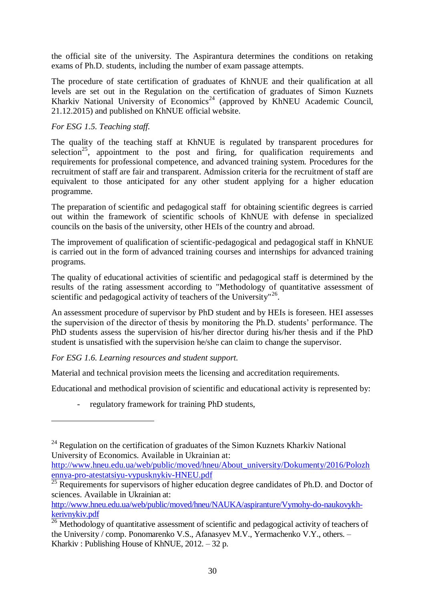the official site of the university. The Aspirantura determines the conditions on retaking exams of Ph.D. students, including the number of exam passage attempts.

The procedure of state certification of graduates of KhNUE and their qualification at all levels are set out in the Regulation on the certification of graduates of Simon Kuznets Kharkiv National University of Economics<sup>24</sup> (approved by KhNEU Academic Council, 21.12.2015) and published on KhNUE official website.

### *For ESG 1.5. Teaching staff.*

The quality of the teaching staff at KhNUE is regulated by transparent procedures for selection<sup>25</sup>, appointment to the post and firing, for qualification requirements and requirements for professional competence, and advanced training system. Procedures for the recruitment of staff are fair and transparent. Admission criteria for the recruitment of staff are equivalent to those anticipated for any other student applying for a higher education programme.

The preparation of scientific and pedagogical staff for obtaining scientific degrees is carried out within the framework of scientific schools of KhNUE with defense in specialized councils on the basis of the university, other HEIs of the country and abroad.

The improvement of qualification of scientific-pedagogical and pedagogical staff in KhNUE is carried out in the form of advanced training courses and internships for advanced training programs.

The quality of educational activities of scientific and pedagogical staff is determined by the results of the rating assessment according to "Methodology of quantitative assessment of scientific and pedagogical activity of teachers of the University"<sup>26</sup>.

An assessment procedure of supervisor by PhD student and by HEIs is foreseen. HEI assesses the supervision of the director of thesis by monitoring the Ph.D. students' performance. The PhD students assess the supervision of his/her director during his/her thesis and if the PhD student is unsatisfied with the supervision he/she can claim to change the supervisor.

*For ESG 1.6. Learning resources and student support.*

<u>.</u>

Material and technical provision meets the licensing and accreditation requirements.

Educational and methodical provision of scientific and educational activity is represented by:

- regulatory framework for training PhD students,

[http://www.hneu.edu.ua/web/public/moved/hneu/NAUKA/aspiranture/Vymohy-do-naukovykh](http://www.hneu.edu.ua/web/public/moved/hneu/NAUKA/aspiranture/Vymohy-do-naukovykh-kerivnykiv.pdf)[kerivnykiv.pdf](http://www.hneu.edu.ua/web/public/moved/hneu/NAUKA/aspiranture/Vymohy-do-naukovykh-kerivnykiv.pdf)

 $^{24}$  Regulation on the certification of graduates of the Simon Kuznets Kharkiv National University of Economics. Available in Ukrainian at:

[http://www.hneu.edu.ua/web/public/moved/hneu/About\\_university/Dokumenty/2016/Polozh](http://www.hneu.edu.ua/web/public/moved/hneu/About_university/Dokumenty/2016/Polozhennya-pro-atestatsiyu-vypusknykiv-HNEU.pdf) [ennya-pro-atestatsiyu-vypusknykiv-HNEU.pdf](http://www.hneu.edu.ua/web/public/moved/hneu/About_university/Dokumenty/2016/Polozhennya-pro-atestatsiyu-vypusknykiv-HNEU.pdf)

 $\frac{25}{25}$  Requirements for supervisors of higher education degree candidates of Ph.D. and Doctor of sciences. Available in Ukrainian at:

<sup>&</sup>lt;sup>26</sup> Methodology of quantitative assessment of scientific and pedagogical activity of teachers of the University / comp. Ponomarenko V.S., Afanasyev М.V., Yermachenko V.Y., others. – Kharkiv : Publishing House of KhNUE, 2012. – 32 p.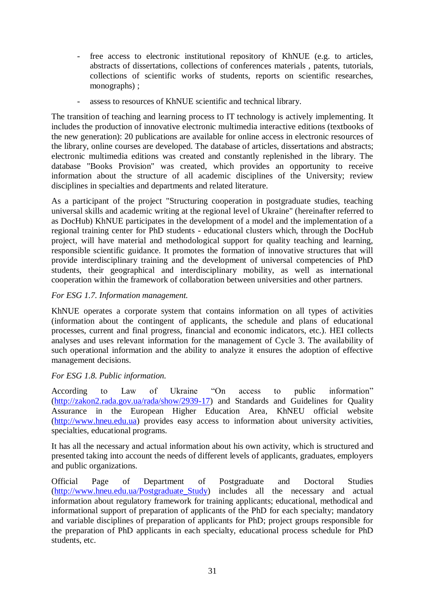- free access to electronic institutional repository of KhNUE (e.g. to articles, abstracts of dissertations, collections of conferences materials , patents, tutorials, collections of scientific works of students, reports on scientific researches, monographs) ;
- assess to resources of KhNUE scientific and technical library.

The transition of teaching and learning process to IT technology is actively implementing. It includes the production of innovative electronic multimedia interactive editions (textbooks of the new generation): 20 publications are available for online access in electronic resources of the library, online courses are developed. The database of articles, dissertations and abstracts; electronic multimedia editions was created and constantly replenished in the library. The database "Books Provision" was created, which provides an opportunity to receive information about the structure of all academic disciplines of the University; review disciplines in specialties and departments and related literature.

As a participant of the project "Structuring cooperation in postgraduate studies, teaching universal skills and academic writing at the regional level of Ukraine" (hereinafter referred to as DocHub) KhNUE participates in the development of a model and the implementation of a regional training center for PhD students - educational clusters which, through the DocHub project, will have material and methodological support for quality teaching and learning, responsible scientific guidance. It promotes the formation of innovative structures that will provide interdisciplinary training and the development of universal competencies of PhD students, their geographical and interdisciplinary mobility, as well as international cooperation within the framework of collaboration between universities and other partners.

#### *For ESG 1.7. Information management.*

KhNUE operates a corporate system that contains information on all types of activities (information about the contingent of applicants, the schedule and plans of educational processes, current and final progress, financial and economic indicators, etc.). HEI collects analyses and uses relevant information for the management of Cycle 3. The availability of such operational information and the ability to analyze it ensures the adoption of effective management decisions.

### *For ESG 1.8. Public information.*

According to Law of Ukraine "On access to public information" [\(http://zakon2.rada.gov.ua/rada/show/2939-17\)](http://zakon2.rada.gov.ua/rada/show/2939-17) and Standards and Guidelines for Quality Assurance in the European Higher Education Area, KhNEU official website [\(http://www.hneu.edu.ua\)](http://www.hneu.edu.ua/) provides easy access to information about university activities, specialties, educational programs.

It has all the necessary and actual information about his own activity, which is structured and presented taking into account the needs of different levels of applicants, graduates, employers and public organizations.

Official Page of Department of Postgraduate and Doctoral Studies [\(http://www.hneu.edu.ua/Postgraduate\\_Study\)](http://www.hneu.edu.ua/Postgraduate_Study) includes all the necessary and actual information about regulatory framework for training applicants; educational, methodical and informational support of preparation of applicants of the PhD for each specialty; mandatory and variable disciplines of preparation of applicants for PhD; project groups responsible for the preparation of PhD applicants in each specialty, educational process schedule for PhD students, etc.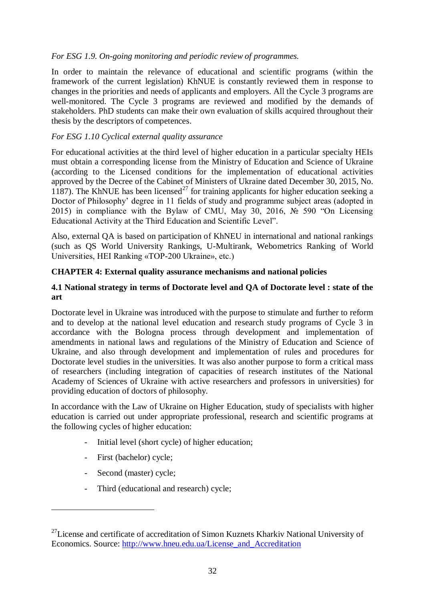### *For ESG 1.9. On-going monitoring and periodic review of programmes.*

In order to maintain the relevance of educational and scientific programs (within the framework of the current legislation) KhNUE is constantly reviewed them in response to changes in the priorities and needs of applicants and employers. All the Cycle 3 programs are well-monitored. The Cycle 3 programs are reviewed and modified by the demands of stakeholders. PhD students can make their own evaluation of skills acquired throughout their thesis by the descriptors of competences.

# *For ESG 1.10 Cyclical external quality assurance*

For educational activities at the third level of higher education in a particular specialty HEIs must obtain a corresponding license from the Ministry of Education and Science of Ukraine (according to the Licensed conditions for the implementation of educational activities approved by the Decree of the Cabinet of Ministers of Ukraine dated December 30, 2015, No. 1187). The KhNUE has been licensed<sup>27</sup> for training applicants for higher education seeking a Doctor of Philosophy' degree in 11 fields of study and programme subject areas (adopted in 2015) in compliance with the Bylaw of CMU, May 30, 2016,  $\mathcal{N}_2$  590 "On Licensing Educational Activity at the Third Education and Scientific Level".

Also, external QA is based on participation of KhNEU in international and national rankings (such as QS World University Rankings, U-Multirank, Webometrics Ranking of World Universities, HEI Ranking «TOP-200 Ukraine», etc.)

### **CHAPTER 4: External quality assurance mechanisms and national policies**

#### **4.1 National strategy in terms of Doctorate level and QA of Doctorate level : state of the art**

Doctorate level in Ukraine was introduced with the purpose to stimulate and further to reform and to develop at the national level education and research study programs of Cycle 3 in accordance with the Bologna process through development and implementation of amendments in national laws and regulations of the Ministry of Education and Science of Ukraine, and also through development and implementation of rules and procedures for Doctorate level studies in the universities. It was also another purpose to form a critical mass of researchers (including integration of capacities of research institutes of the National Academy of Sciences of Ukraine with active researchers and professors in universities) for providing education of doctors of philosophy.

In accordance with the Law of Ukraine on Higher Education, study of specialists with higher education is carried out under appropriate professional, research and scientific programs at the following cycles of higher education:

- Initial level (short cycle) of higher education;
- First (bachelor) cycle;
- Second (master) cycle;

1

- Third (educational and research) cycle;

<sup>&</sup>lt;sup>27</sup>License and certificate of accreditation of Simon Kuznets Kharkiv National University of Economics. Source: [http://www.hneu.edu.ua/License\\_and\\_Accreditation](http://www.hneu.edu.ua/License_and_Accreditation)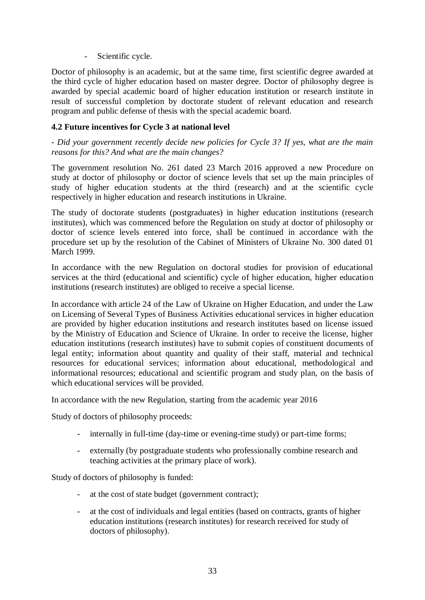Scientific cycle.

Doctor of philosophy is an academic, but at the same time, first scientific degree awarded at the third cycle of higher education based on master degree. Doctor of philosophy degree is awarded by special academic board of higher education institution or research institute in result of successful completion by doctorate student of relevant education and research program and public defense of thesis with the special academic board.

### **4.2 Future incentives for Cycle 3 at national level**

*- Did your government recently decide new policies for Cycle 3? If yes, what are the main reasons for this? And what are the main changes?*

The government resolution No. 261 dated 23 March 2016 approved a new Procedure on study at doctor of philosophy or doctor of science levels that set up the main principles of study of higher education students at the third (research) and at the scientific cycle respectively in higher education and research institutions in Ukraine.

The study of doctorate students (postgraduates) in higher education institutions (research institutes), which was commenced before the Regulation on study at doctor of philosophy or doctor of science levels entered into force, shall be continued in accordance with the procedure set up by the resolution of the Cabinet of Ministers of Ukraine No. 300 dated 01 March 1999.

In accordance with the new Regulation on doctoral studies for provision of educational services at the third (educational and scientific) cycle of higher education, higher education institutions (research institutes) are obliged to receive a special license.

In accordance with article 24 of the Law of Ukraine on Higher Education, and under the Law on Licensing of Several Types of Business Activities educational services in higher education are provided by higher education institutions and research institutes based on license issued by the Ministry of Education and Science of Ukraine. In order to receive the license, higher education institutions (research institutes) have to submit copies of constituent documents of legal entity; information about quantity and quality of their staff, material and technical resources for educational services; information about educational, methodological and informational resources; educational and scientific program and study plan, on the basis of which educational services will be provided.

In accordance with the new Regulation, starting from the academic year 2016

Study of doctors of philosophy proceeds:

- internally in full-time (day-time or evening-time study) or part-time forms;
- externally (by postgraduate students who professionally combine research and teaching activities at the primary place of work).

Study of doctors of philosophy is funded:

- at the cost of state budget (government contract);
- at the cost of individuals and legal entities (based on contracts, grants of higher education institutions (research institutes) for research received for study of doctors of philosophy).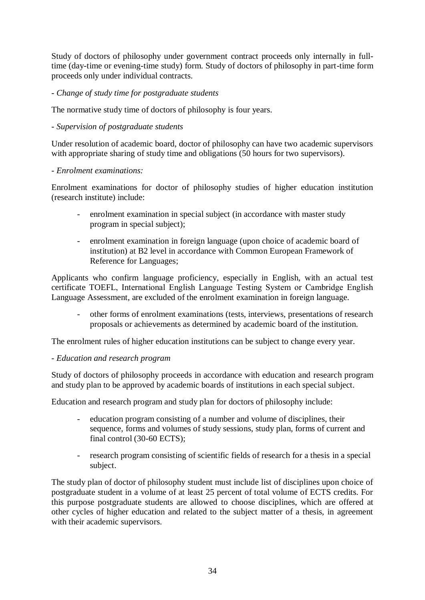Study of doctors of philosophy under government contract proceeds only internally in fulltime (day-time or evening-time study) form. Study of doctors of philosophy in part-time form proceeds only under individual contracts.

# *- Change of study time for postgraduate students*

The normative study time of doctors of philosophy is four years.

# *- Supervision of postgraduate students*

Under resolution of academic board, doctor of philosophy can have two academic supervisors with appropriate sharing of study time and obligations (50 hours for two supervisors).

### *- Enrolment examinations:*

Enrolment examinations for doctor of philosophy studies of higher education institution (research institute) include:

- enrolment examination in special subject (in accordance with master study program in special subject);
- enrolment examination in foreign language (upon choice of academic board of institution) at B2 level in accordance with Common European Framework of Reference for Languages;

Applicants who confirm language proficiency, especially in English, with an actual test certificate TOEFL, International English Language Testing System or Сambridge English Language Assessment, are excluded of the enrolment examination in foreign language.

- other forms of enrolment examinations (tests, interviews, presentations of research proposals or achievements as determined by academic board of the institution.

The enrolment rules of higher education institutions can be subject to change every year.

### *- Education and research program*

Study of doctors of philosophy proceeds in accordance with education and research program and study plan to be approved by academic boards of institutions in each special subject.

Education and research program and study plan for doctors of philosophy include:

- education program consisting of a number and volume of disciplines, their sequence, forms and volumes of study sessions, study plan, forms of current and final control (30-60 ECTS);
- research program consisting of scientific fields of research for a thesis in a special subject.

The study plan of doctor of philosophy student must include list of disciplines upon choice of postgraduate student in a volume of at least 25 percent of total volume of ECTS credits. For this purpose postgraduate students are allowed to choose disciplines, which are offered at other cycles of higher education and related to the subject matter of a thesis, in agreement with their academic supervisors.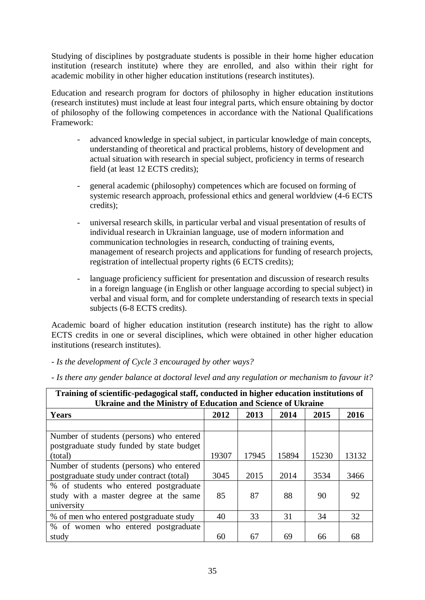Studying of disciplines by postgraduate students is possible in their home higher education institution (research institute) where they are enrolled, and also within their right for academic mobility in other higher education institutions (research institutes).

Education and research program for doctors of philosophy in higher education institutions (research institutes) must include at least four integral parts, which ensure obtaining by doctor of philosophy of the following competences in accordance with the National Qualifications Framework:

- advanced knowledge in special subject, in particular knowledge of main concepts, understanding of theoretical and practical problems, history of development and actual situation with research in special subject, proficiency in terms of research field (at least 12 ECTS credits);
- general academic (philosophy) competences which are focused on forming of systemic research approach, professional ethics and general worldview (4-6 ECTS credits);
- universal research skills, in particular verbal and visual presentation of results of individual research in Ukrainian language, use of modern information and communication technologies in research, conducting of training events, management of research projects and applications for funding of research projects, registration of intellectual property rights (6 ECTS credits);
- language proficiency sufficient for presentation and discussion of research results in a foreign language (in English or other language according to special subject) in verbal and visual form, and for complete understanding of research texts in special subjects (6-8 ECTS credits).

Academic board of higher education institution (research institute) has the right to allow ECTS credits in one or several disciplines, which were obtained in other higher education institutions (research institutes).

*- Is the development of Cycle 3 encouraged by other ways?*

| Training of scientific-pedagogical staff, conducted in higher education institutions of |       |       |       |       |       |  |  |  |  |
|-----------------------------------------------------------------------------------------|-------|-------|-------|-------|-------|--|--|--|--|
| Ukraine and the Ministry of Education and Science of Ukraine                            |       |       |       |       |       |  |  |  |  |
| <b>Years</b>                                                                            | 2012  | 2013  | 2014  | 2015  | 2016  |  |  |  |  |
|                                                                                         |       |       |       |       |       |  |  |  |  |
| Number of students (persons) who entered                                                |       |       |       |       |       |  |  |  |  |
| postgraduate study funded by state budget                                               |       |       |       |       |       |  |  |  |  |
| (total)                                                                                 | 19307 | 17945 | 15894 | 15230 | 13132 |  |  |  |  |
| Number of students (persons) who entered                                                |       |       |       |       |       |  |  |  |  |
| postgraduate study under contract (total)                                               | 3045  | 2015  | 2014  | 3534  | 3466  |  |  |  |  |
| % of students who entered postgraduate                                                  |       |       |       |       |       |  |  |  |  |
| study with a master degree at the same                                                  | 85    | 87    | 88    | 90    | 92    |  |  |  |  |
| university                                                                              |       |       |       |       |       |  |  |  |  |
| % of men who entered postgraduate study                                                 | 40    | 33    | 31    | 34    | 32    |  |  |  |  |
| % of women who entered postgraduate                                                     |       |       |       |       |       |  |  |  |  |
| study                                                                                   | 60    | 67    | 69    | 66    | 68    |  |  |  |  |

*- Is there any gender balance at doctoral level and any regulation or mechanism to favour it?*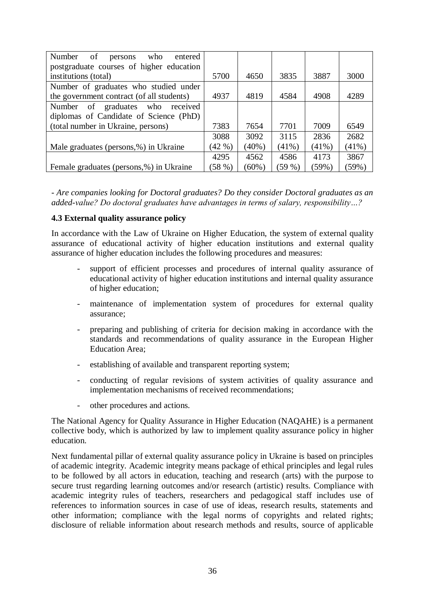| Number<br>of<br>who<br>entered<br>persons |       |          |          |          |          |
|-------------------------------------------|-------|----------|----------|----------|----------|
| postgraduate courses of higher education  |       |          |          |          |          |
| institutions (total)                      | 5700  | 4650     | 3835     | 3887     | 3000     |
| Number of graduates who studied under     |       |          |          |          |          |
| the government contract (of all students) | 4937  | 4819     | 4584     | 4908     | 4289     |
| Number of graduates who<br>received       |       |          |          |          |          |
| diplomas of Candidate of Science (PhD)    |       |          |          |          |          |
| (total number in Ukraine, persons)        | 7383  | 7654     | 7701     | 7009     | 6549     |
|                                           | 3088  | 3092     | 3115     | 2836     | 2682     |
| Male graduates (persons,%) in Ukraine     | (42%) | $(40\%)$ | $(41\%)$ | $(41\%)$ | $(41\%)$ |
|                                           | 4295  | 4562     | 4586     | 4173     | 3867     |
| Female graduates (persons,%) in Ukraine   | (58%) | $(60\%)$ | (59%     | (59%)    | (59%)    |

*- Are companies looking for Doctoral graduates? Do they consider Doctoral graduates as an added-value? Do doctoral graduates have advantages in terms of salary, responsibility…?*

#### **4.3 External quality assurance policy**

In accordance with the Law of Ukraine on Higher Education, the system of external quality assurance of educational activity of higher education institutions and external quality assurance of higher education includes the following procedures and measures:

- support of efficient processes and procedures of internal quality assurance of educational activity of higher education institutions and internal quality assurance of higher education;
- maintenance of implementation system of procedures for external quality assurance;
- preparing and publishing of criteria for decision making in accordance with the standards and recommendations of quality assurance in the European Higher Education Area;
- establishing of available and transparent reporting system;
- conducting of regular revisions of system activities of quality assurance and implementation mechanisms of received recommendations;
- other procedures and actions.

The National Agency for Quality Assurance in Higher Education (NAQAHE) is a permanent collective body, which is authorized by law to implement quality assurance policy in higher education.

Next fundamental pillar of external quality assurance policy in Ukraine is based on principles of academic integrity. Academic integrity means package of ethical principles and legal rules to be followed by all actors in education, teaching and research (arts) with the purpose to secure trust regarding learning outcomes and/or research (artistic) results. Compliance with academic integrity rules of teachers, researchers and pedagogical staff includes use of references to information sources in case of use of ideas, research results, statements and other information; compliance with the legal norms of copyrights and related rights; disclosure of reliable information about research methods and results, source of applicable